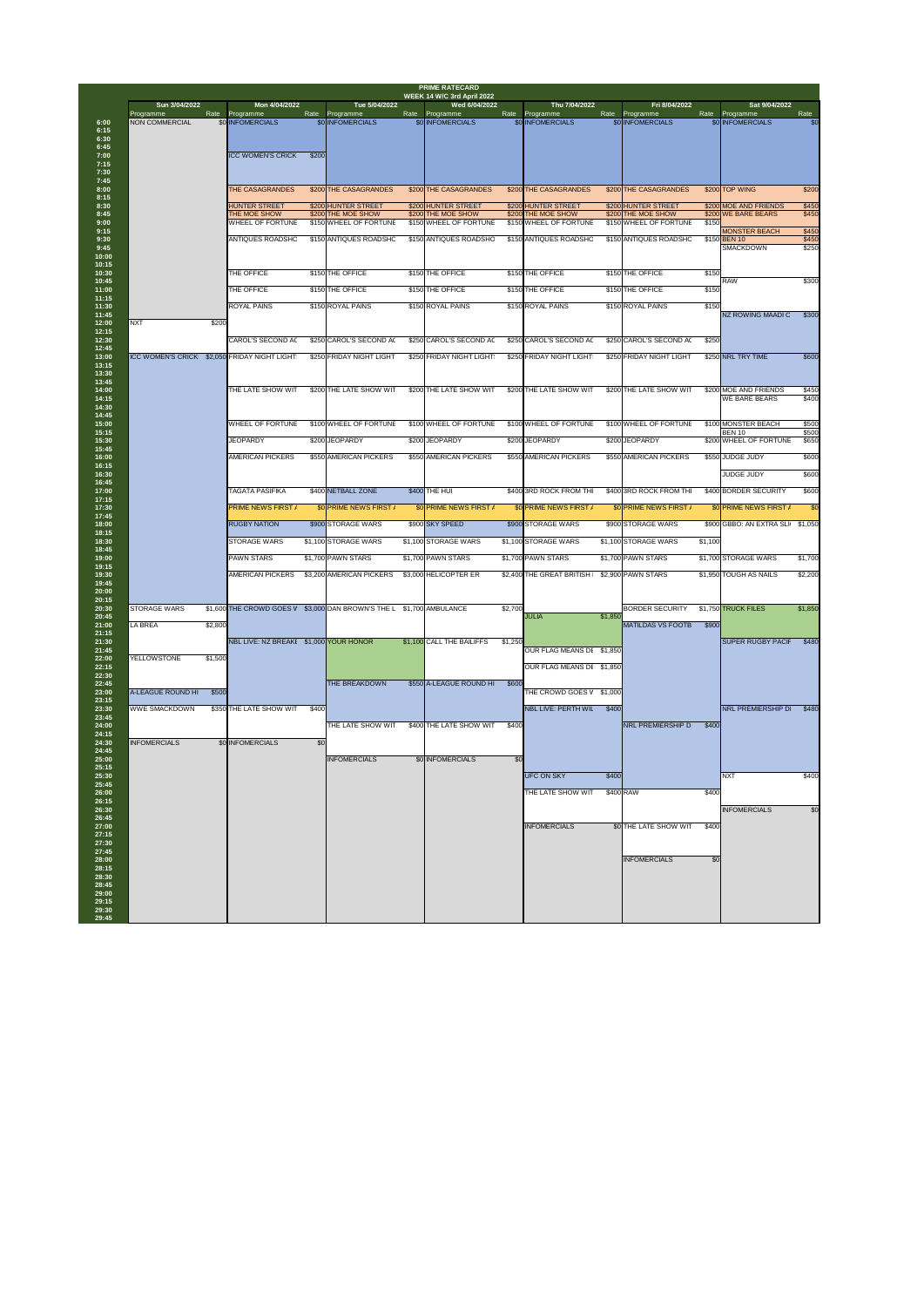| Rate<br>\$200 THE CASAGRANDES<br>\$200 HUNTER STREET<br>\$200 THE MOE SHOW<br>\$150 WHEEL OF FORTUNE<br>\$150<br>\$150 ANTIQUES ROADSHC<br>\$150<br>\$150<br>\$150<br>\$250 CAROL'S SECOND AC<br>\$250<br>\$250 FRIDAY NIGHT LIGHT<br>\$200 THE LATE SHOW WIT<br>\$100 WHEEL OF FORTUNE | Programme<br>\$0 INFOMERCIALS<br>\$200 TOP WING<br>\$200 MOE AND FRIENDS<br>\$200 WE BARE BEARS<br><b>MONSTER BEACH</b><br>\$150 BEN 10<br><b>SMACKDOWN</b><br><b>RAW</b><br><b>NZ ROWING MAADI C</b><br>\$250 NRL TRY TIME<br>\$200 MOE AND FRIENDS<br><b>WE BARE BEARS</b><br>\$100 MONSTER BEACH | Rate<br>\$0<br>\$200<br>\$450<br>\$450<br>\$450<br>\$450<br>\$250<br>\$300<br>\$300<br>\$600 |
|-----------------------------------------------------------------------------------------------------------------------------------------------------------------------------------------------------------------------------------------------------------------------------------------|-----------------------------------------------------------------------------------------------------------------------------------------------------------------------------------------------------------------------------------------------------------------------------------------------------|----------------------------------------------------------------------------------------------|
|                                                                                                                                                                                                                                                                                         |                                                                                                                                                                                                                                                                                                     |                                                                                              |
|                                                                                                                                                                                                                                                                                         |                                                                                                                                                                                                                                                                                                     |                                                                                              |
|                                                                                                                                                                                                                                                                                         |                                                                                                                                                                                                                                                                                                     |                                                                                              |
|                                                                                                                                                                                                                                                                                         |                                                                                                                                                                                                                                                                                                     |                                                                                              |
|                                                                                                                                                                                                                                                                                         |                                                                                                                                                                                                                                                                                                     |                                                                                              |
|                                                                                                                                                                                                                                                                                         |                                                                                                                                                                                                                                                                                                     |                                                                                              |
|                                                                                                                                                                                                                                                                                         |                                                                                                                                                                                                                                                                                                     |                                                                                              |
|                                                                                                                                                                                                                                                                                         |                                                                                                                                                                                                                                                                                                     |                                                                                              |
|                                                                                                                                                                                                                                                                                         |                                                                                                                                                                                                                                                                                                     |                                                                                              |
|                                                                                                                                                                                                                                                                                         |                                                                                                                                                                                                                                                                                                     |                                                                                              |
|                                                                                                                                                                                                                                                                                         |                                                                                                                                                                                                                                                                                                     |                                                                                              |
|                                                                                                                                                                                                                                                                                         |                                                                                                                                                                                                                                                                                                     |                                                                                              |
|                                                                                                                                                                                                                                                                                         |                                                                                                                                                                                                                                                                                                     |                                                                                              |
|                                                                                                                                                                                                                                                                                         |                                                                                                                                                                                                                                                                                                     |                                                                                              |
|                                                                                                                                                                                                                                                                                         |                                                                                                                                                                                                                                                                                                     |                                                                                              |
|                                                                                                                                                                                                                                                                                         |                                                                                                                                                                                                                                                                                                     |                                                                                              |
|                                                                                                                                                                                                                                                                                         |                                                                                                                                                                                                                                                                                                     | \$450                                                                                        |
|                                                                                                                                                                                                                                                                                         |                                                                                                                                                                                                                                                                                                     | \$400                                                                                        |
|                                                                                                                                                                                                                                                                                         |                                                                                                                                                                                                                                                                                                     | \$500                                                                                        |
|                                                                                                                                                                                                                                                                                         | <b>BEN 10</b><br>\$200 WHEEL OF FORTUNE                                                                                                                                                                                                                                                             | \$500<br>\$650                                                                               |
|                                                                                                                                                                                                                                                                                         |                                                                                                                                                                                                                                                                                                     |                                                                                              |
| \$550 AMERICAN PICKERS                                                                                                                                                                                                                                                                  | \$550 JUDGE JUDY                                                                                                                                                                                                                                                                                    | \$600                                                                                        |
|                                                                                                                                                                                                                                                                                         | <b>JUDGE JUDY</b>                                                                                                                                                                                                                                                                                   | \$600                                                                                        |
| \$400 3RD ROCK FROM THI                                                                                                                                                                                                                                                                 | \$400 BORDER SECURITY                                                                                                                                                                                                                                                                               | \$600                                                                                        |
| \$0 PRIME NEWS FIRST /                                                                                                                                                                                                                                                                  | \$0 PRIME NEWS FIRST /                                                                                                                                                                                                                                                                              |                                                                                              |
| \$900 STORAGE WARS                                                                                                                                                                                                                                                                      | \$900 GBBO: AN EXTRA SLI                                                                                                                                                                                                                                                                            | \$1,050                                                                                      |
| \$1,100 STORAGE WARS<br>\$1,100                                                                                                                                                                                                                                                         |                                                                                                                                                                                                                                                                                                     |                                                                                              |
|                                                                                                                                                                                                                                                                                         | \$1,700 STORAGE WARS                                                                                                                                                                                                                                                                                | \$1,700                                                                                      |
|                                                                                                                                                                                                                                                                                         | \$1,950 TOUGH AS NAILS                                                                                                                                                                                                                                                                              | \$2,200                                                                                      |
|                                                                                                                                                                                                                                                                                         |                                                                                                                                                                                                                                                                                                     |                                                                                              |
| <b>BORDER SECURITY</b>                                                                                                                                                                                                                                                                  | \$1,750 TRUCK FILES                                                                                                                                                                                                                                                                                 | \$1,850                                                                                      |
| MATILDAS VS FOOTB \$900                                                                                                                                                                                                                                                                 |                                                                                                                                                                                                                                                                                                     |                                                                                              |
|                                                                                                                                                                                                                                                                                         | <b>SUPER RUGBY PACIF</b>                                                                                                                                                                                                                                                                            | \$480                                                                                        |
|                                                                                                                                                                                                                                                                                         |                                                                                                                                                                                                                                                                                                     |                                                                                              |
|                                                                                                                                                                                                                                                                                         |                                                                                                                                                                                                                                                                                                     |                                                                                              |
|                                                                                                                                                                                                                                                                                         |                                                                                                                                                                                                                                                                                                     |                                                                                              |
|                                                                                                                                                                                                                                                                                         |                                                                                                                                                                                                                                                                                                     | \$480                                                                                        |
|                                                                                                                                                                                                                                                                                         |                                                                                                                                                                                                                                                                                                     |                                                                                              |
|                                                                                                                                                                                                                                                                                         |                                                                                                                                                                                                                                                                                                     |                                                                                              |
|                                                                                                                                                                                                                                                                                         |                                                                                                                                                                                                                                                                                                     |                                                                                              |
|                                                                                                                                                                                                                                                                                         | <b>INXT</b>                                                                                                                                                                                                                                                                                         | \$400                                                                                        |
|                                                                                                                                                                                                                                                                                         |                                                                                                                                                                                                                                                                                                     |                                                                                              |
|                                                                                                                                                                                                                                                                                         | <b>INFOMERCIALS</b>                                                                                                                                                                                                                                                                                 |                                                                                              |
|                                                                                                                                                                                                                                                                                         |                                                                                                                                                                                                                                                                                                     |                                                                                              |
|                                                                                                                                                                                                                                                                                         |                                                                                                                                                                                                                                                                                                     |                                                                                              |
|                                                                                                                                                                                                                                                                                         |                                                                                                                                                                                                                                                                                                     |                                                                                              |
|                                                                                                                                                                                                                                                                                         |                                                                                                                                                                                                                                                                                                     |                                                                                              |
|                                                                                                                                                                                                                                                                                         |                                                                                                                                                                                                                                                                                                     |                                                                                              |
|                                                                                                                                                                                                                                                                                         | <b>NRL PREMIERSHIP D</b><br>\$0 THE LATE SHOW WIT<br><b>INFOMERCIALS</b>                                                                                                                                                                                                                            | NRL PREMIERSHIP D<br>\$400<br>\$400<br>\$400<br>\$0                                          |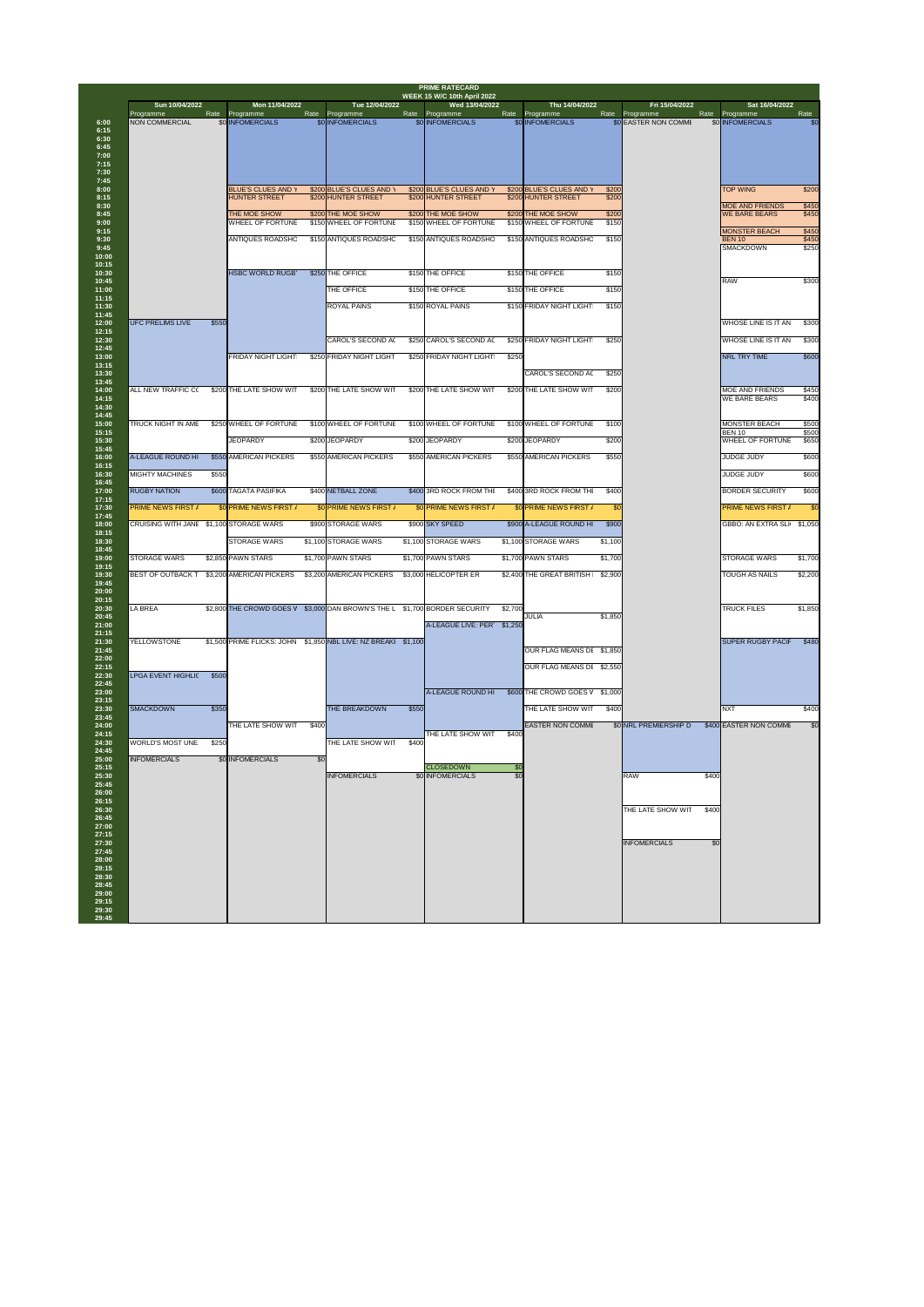| Sun 10/04/2022                          |       | Mon 11/04/2022                                    |       | Tue 12/04/2022                                                 |       | <b>WEEK 15 W/C 10th April 2022</b><br>Wed 13/04/2022 |                 | Thu 14/04/2022                                  |                | Fri 15/04/2022        |                                                | Sat 16/04/2022 |
|-----------------------------------------|-------|---------------------------------------------------|-------|----------------------------------------------------------------|-------|------------------------------------------------------|-----------------|-------------------------------------------------|----------------|-----------------------|------------------------------------------------|----------------|
| Programme                               | Rate  | Programme                                         | Rate  | Programme                                                      | Rate  | Programme                                            |                 | Rate Programme                                  | Rate           | Programme             | Rate<br>Programme                              |                |
| <b>NON COMMERCIAL</b>                   |       | <b>\$0 INFOMERCIALS</b>                           |       | \$0 INFOMERCIALS                                               |       | \$0 INFOMERCIALS                                     |                 | \$0 INFOMERCIALS                                |                | \$0 EASTER NON COMME  | \$0 INFOMERCIALS                               |                |
|                                         |       |                                                   |       |                                                                |       |                                                      |                 |                                                 |                |                       |                                                |                |
|                                         |       |                                                   |       |                                                                |       |                                                      |                 |                                                 |                |                       |                                                |                |
|                                         |       |                                                   |       |                                                                |       |                                                      |                 |                                                 |                |                       |                                                |                |
|                                         |       | <b>BLUE'S CLUES AND Y</b><br><b>HUNTER STREET</b> |       | \$200 BLUE'S CLUES AND Y<br>\$200 HUNTER STREET                |       | \$200 BLUE'S CLUES AND<br>\$200 HUNTER STREET        |                 | \$200 BLUE'S CLUES AND Y<br>\$200 HUNTER STREET | \$200<br>\$200 |                       | <b>TOP WING</b>                                |                |
|                                         |       | THE MOE SHOW                                      |       | \$200 THE MOE SHOW                                             |       | \$200 THE MOE SHOW                                   |                 | \$200 THE MOE SHOW                              | \$200          |                       | <b>MOE AND FRIENDS</b><br><b>WE BARE BEARS</b> |                |
|                                         |       | <b>WHEEL OF FORTUNE</b>                           |       | \$150 WHEEL OF FORTUNE                                         |       | \$150 WHEEL OF FORTUNE                               |                 | \$150 WHEEL OF FORTUNE                          | \$150          |                       | <b>MONSTER BEACH</b>                           |                |
|                                         |       | <b>ANTIQUES ROADSHC</b>                           |       | \$150 ANTIQUES ROADSHC                                         |       | \$150 ANTIQUES ROADSHC                               |                 | \$150 ANTIQUES ROADSHC                          | \$150          |                       | <b>BEN 10</b>                                  |                |
|                                         |       |                                                   |       |                                                                |       |                                                      |                 |                                                 |                |                       | <b>SMACKDOWN</b>                               |                |
|                                         |       | <b>HSBC WORLD RUGB'</b>                           |       | \$250 THE OFFICE                                               |       | \$150 THE OFFICE                                     |                 | \$150 THE OFFICE                                | \$150          |                       |                                                |                |
|                                         |       |                                                   |       | THE OFFICE                                                     |       | \$150 THE OFFICE                                     |                 | \$150 THE OFFICE                                | \$150          |                       | RAW                                            |                |
|                                         |       |                                                   |       | <b>ROYAL PAINS</b>                                             |       | \$150 ROYAL PAINS                                    |                 | \$150 FRIDAY NIGHT LIGHT                        | \$150          |                       |                                                |                |
| <b>UFC PRELIMS LIVE</b>                 | \$550 |                                                   |       |                                                                |       |                                                      |                 |                                                 |                |                       | <b>WHOSE LINE IS IT AN</b>                     |                |
|                                         |       |                                                   |       |                                                                |       |                                                      |                 |                                                 |                |                       |                                                |                |
|                                         |       |                                                   |       | <b>CAROL'S SECOND AC</b>                                       |       | \$250 CAROL'S SECOND AC                              |                 | \$250 FRIDAY NIGHT LIGHT                        | \$250          |                       | <b>WHOSE LINE IS IT AN</b>                     |                |
|                                         |       | <b>FRIDAY NIGHT LIGHT</b>                         |       | \$250 FRIDAY NIGHT LIGHT                                       |       | \$250 FRIDAY NIGHT LIGHT                             | \$250           |                                                 |                |                       | NRL TRY TIME                                   |                |
|                                         |       |                                                   |       |                                                                |       |                                                      |                 | <b>CAROL'S SECOND AC</b>                        | \$250          |                       |                                                |                |
| <b>ALL NEW TRAFFIC C(</b>               |       | \$200 THE LATE SHOW WIT                           |       | \$200 THE LATE SHOW WIT                                        |       | \$200 THE LATE SHOW WIT                              |                 | \$200 THE LATE SHOW WIT                         | \$200          |                       | <b>MOE AND FRIENDS</b><br><b>WE BARE BEARS</b> |                |
|                                         |       |                                                   |       |                                                                |       |                                                      |                 |                                                 |                |                       |                                                |                |
| <b>TRUCK NIGHT IN AME</b>               |       | \$250 WHEEL OF FORTUNE                            |       | \$100 WHEEL OF FORTUNE                                         |       | \$100 WHEEL OF FORTUNE                               |                 | \$100 WHEEL OF FORTUNE                          | \$100          |                       | <b>MONSTER BEACH</b>                           |                |
|                                         |       | <b>JEOPARDY</b>                                   |       | \$200 JEOPARDY                                                 |       | \$200 JEOPARDY                                       |                 | \$200 JEOPARDY                                  | \$200          |                       | <b>BEN 10</b><br><b>WHEEL OF FORTUNE</b>       |                |
| A-LEAGUE ROUND HI                       |       | \$550 AMERICAN PICKERS                            |       | \$550 AMERICAN PICKERS                                         |       | \$550 AMERICAN PICKERS                               |                 | \$550 AMERICAN PICKERS                          | \$550          |                       | <b>JUDGE JUDY</b>                              |                |
| <b>MIGHTY MACHINES</b>                  | \$550 |                                                   |       |                                                                |       |                                                      |                 |                                                 |                |                       | <b>JUDGE JUDY</b>                              |                |
| <b>RUGBY NATION</b>                     |       | \$600 TAGATA PASIFIKA                             |       | \$400 NETBALL ZONE                                             |       | \$400 3RD ROCK FROM THI                              |                 | \$400 3RD ROCK FROM THI                         | \$400          |                       | <b>BORDER SECURITY</b>                         |                |
| <b>PRIME NEWS FIRST /</b>               |       | \$0 PRIME NEWS FIRST /                            |       | \$0 PRIME NEWS FIRST /                                         |       | \$0 PRIME NEWS FIRST /                               |                 | \$0 PRIME NEWS FIRST /                          | \$0            |                       | <b>PRIME NEWS FIRST /</b>                      |                |
| CRUISING WITH JANE \$1,100 STORAGE WARS |       |                                                   |       | \$900 STORAGE WARS                                             |       | \$900 SKY SPEED                                      |                 | \$900 A-LEAGUE ROUND HI                         | \$900          |                       | GBBO: AN EXTRA SLI \$1,050                     |                |
|                                         |       |                                                   |       |                                                                |       |                                                      |                 |                                                 |                |                       |                                                |                |
|                                         |       | <b>STORAGE WARS</b>                               |       | \$1,100 STORAGE WARS                                           |       | \$1,100 STORAGE WARS                                 |                 | \$1,100 STORAGE WARS                            | \$1,100        |                       |                                                |                |
| <b>STORAGE WARS</b>                     |       | \$2,850 PAWN STARS                                |       | \$1,700 PAWN STARS                                             |       | \$1,700 PAWN STARS                                   |                 | \$1,700 PAWN STARS                              | \$1,700        |                       | <b>STORAGE WARS</b>                            |                |
| <b>BEST OF OUTBACK T</b>                |       | \$3,200 AMERICAN PICKERS                          |       | \$3,200 AMERICAN PICKERS                                       |       | \$3,000 HELICOPTER ER                                |                 | \$2,400 THE GREAT BRITISH                       | \$2,900        |                       | <b>TOUGH AS NAILS</b>                          |                |
|                                         |       |                                                   |       |                                                                |       |                                                      |                 |                                                 |                |                       |                                                |                |
| <b>LA BREA</b>                          |       |                                                   |       | \$2,800 THE CROWD GOES V \$3,000 DAN BROWN'S THE L             |       | \$1,700 BORDER SECURITY                              | \$2,700         | JULIA                                           | \$1,850        |                       | <b>TRUCK FILES</b>                             |                |
|                                         |       |                                                   |       |                                                                |       | A-LEAGUE LIVE: PER \$1,250                           |                 |                                                 |                |                       |                                                |                |
| <b>YELLOWSTONE</b>                      |       |                                                   |       | \$1,500 PRIME FLICKS: JOHN \$1,850 NBL LIVE: NZ BREAKI \$1,100 |       |                                                      |                 | OUR FLAG MEANS DI \$1,850                       |                |                       | <b>SUPER RUGBY PACIF</b>                       |                |
|                                         |       |                                                   |       |                                                                |       |                                                      |                 |                                                 |                |                       |                                                |                |
| <b>LPGA EVENT HIGHLI(</b>               | \$500 |                                                   |       |                                                                |       |                                                      |                 | OUR FLAG MEANS DI \$2,550                       |                |                       |                                                |                |
|                                         |       |                                                   |       |                                                                |       | A-LEAGUE ROUND HI                                    |                 | \$600 THE CROWD GOES V \$1,000                  |                |                       |                                                |                |
| <b>SMACKDOWN</b>                        | \$350 |                                                   |       | THE BREAKDOWN                                                  | \$550 |                                                      |                 | THE LATE SHOW WIT                               | \$400          |                       | <b>INXT</b>                                    |                |
|                                         |       | THE LATE SHOW WIT                                 | \$400 |                                                                |       |                                                      |                 | <b>EASTER NON COMME</b>                         |                | \$0 NRL PREMIERSHIP D | \$400 EASTER NON COMME                         |                |
| <b>WORLD'S MOST UNE</b>                 | \$250 |                                                   |       | THE LATE SHOW WIT                                              | \$400 | THE LATE SHOW WIT                                    | \$400           |                                                 |                |                       |                                                |                |
| <b>INFOMERCIALS</b>                     |       | <b>\$0 INFOMERCIALS</b>                           | \$0   |                                                                |       |                                                      |                 |                                                 |                |                       |                                                |                |
|                                         |       |                                                   |       |                                                                |       | <b>CLOSEDOWN</b>                                     | \$0             |                                                 |                |                       |                                                |                |
|                                         |       |                                                   |       | <b>INFOMERCIALS</b>                                            |       | \$0 INFOMERCIALS                                     | $\overline{30}$ |                                                 |                | <b>RAW</b>            | \$400                                          |                |
|                                         |       |                                                   |       |                                                                |       |                                                      |                 |                                                 |                |                       |                                                |                |
|                                         |       |                                                   |       |                                                                |       |                                                      |                 |                                                 |                | THE LATE SHOW WIT     | \$400                                          |                |
|                                         |       |                                                   |       |                                                                |       |                                                      |                 |                                                 |                |                       |                                                |                |
|                                         |       |                                                   |       |                                                                |       |                                                      |                 |                                                 |                | <b>INFOMERCIALS</b>   | \$0                                            |                |
|                                         |       |                                                   |       |                                                                |       |                                                      |                 |                                                 |                |                       |                                                |                |
|                                         |       |                                                   |       |                                                                |       |                                                      |                 |                                                 |                |                       |                                                |                |
|                                         |       |                                                   |       |                                                                |       |                                                      |                 |                                                 |                |                       |                                                |                |
|                                         |       |                                                   |       |                                                                |       |                                                      |                 |                                                 |                |                       |                                                |                |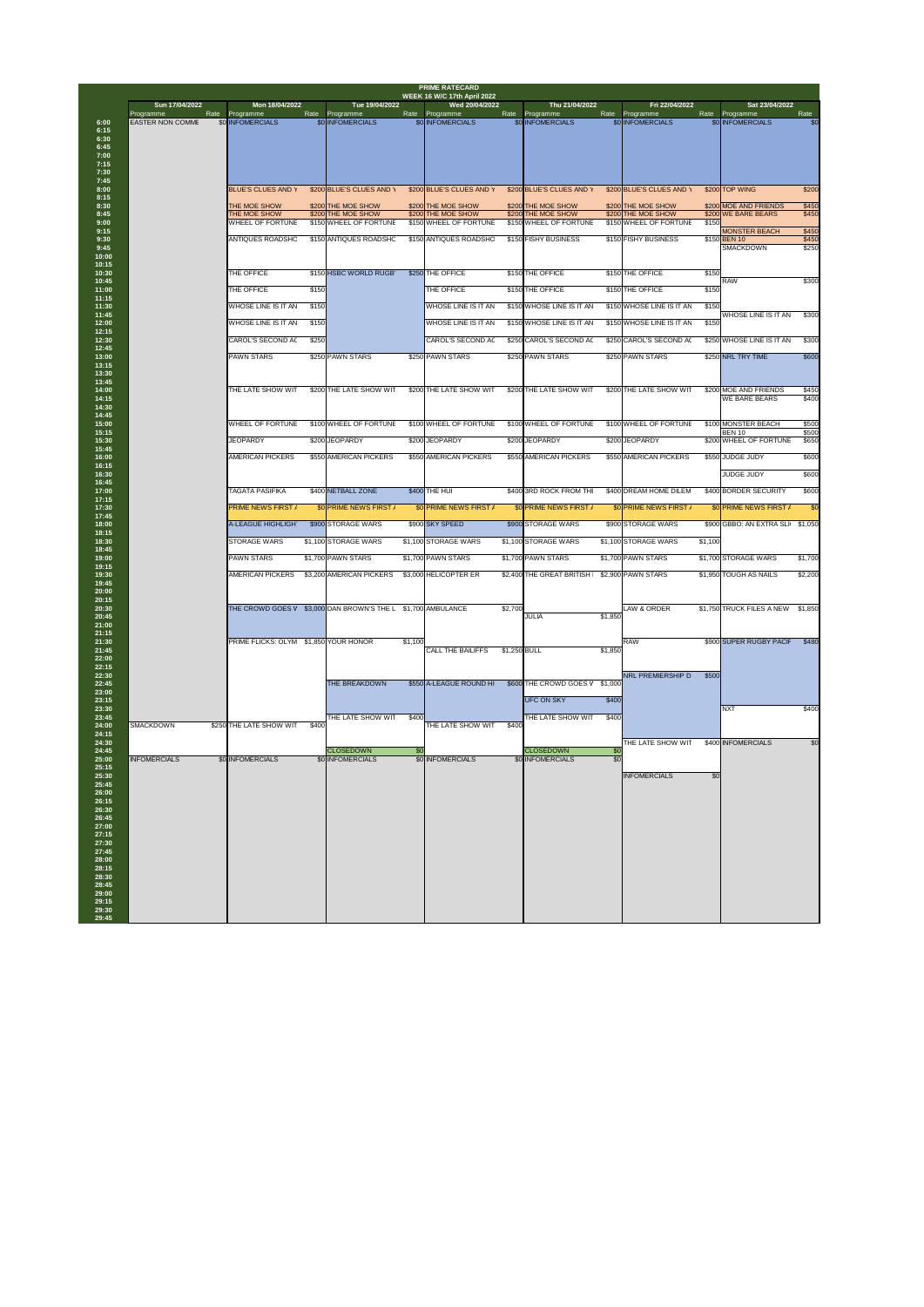|                                                                                                                   |                                              |       |                                          |         | <b>PRIME RATECARD</b><br><b>WEEK 16 W/C 17th April 2022</b> |              |                                          |                 |                                          |         |                                                          |                         |
|-------------------------------------------------------------------------------------------------------------------|----------------------------------------------|-------|------------------------------------------|---------|-------------------------------------------------------------|--------------|------------------------------------------|-----------------|------------------------------------------|---------|----------------------------------------------------------|-------------------------|
| Sun 17/04/2022<br><b>Programme</b>                                                                                | Mon 18/04/2022<br>Rate Programme             | Rate  | Tue 19/04/2022<br>Programme              | Rate    | Wed 20/04/2022<br>Programme                                 | Rate         | Thu 21/04/2022<br>Programme              | Rate            | Fri 22/04/2022<br>Programme              |         | Sat 23/04/2022<br>Rate Programme                         | Rate                    |
| <b>EASTER NON COMME</b>                                                                                           | \$0 INFOMERCIALS                             |       | \$0 INFOMERCIALS                         |         | \$0 INFOMERCIALS                                            |              | \$0 INFOMERCIALS                         |                 | \$0 INFOMERCIALS                         |         | <b>\$0 INFOMERCIALS</b>                                  | \$0                     |
|                                                                                                                   | <b>BLUE'S CLUES AND Y</b>                    |       | \$200 BLUE'S CLUES AND Y                 |         | \$200 BLUE'S CLUES AND Y                                    |              | \$200 BLUE'S CLUES AND Y                 |                 | \$200 BLUE'S CLUES AND Y                 |         | \$200 TOP WING                                           | \$200                   |
|                                                                                                                   | <b>THE MOE SHOW</b>                          |       | \$200 THE MOE SHOW<br>\$200 THE MOE SHOW |         | \$200 THE MOE SHOW<br>\$200 THE MOE SHOW                    |              | \$200 THE MOE SHOW<br>\$200 THE MOE SHOW |                 | \$200 THE MOE SHOW<br>\$200 THE MOE SHOW |         | \$200 MOE AND FRIENDS<br>\$200 WE BARE BEARS             | \$450<br>\$450          |
|                                                                                                                   | THE MOE SHOW<br><b>WHEEL OF FORTUNE</b>      |       | \$150 WHEEL OF FORTUNE                   |         | \$150 WHEEL OF FORTUNE                                      |              | \$150 WHEEL OF FORTUNE                   |                 | \$150 WHEEL OF FORTUNE                   | \$150   |                                                          |                         |
|                                                                                                                   | <b>ANTIQUES ROADSHC</b>                      |       | \$150 ANTIQUES ROADSHC                   |         | \$150 ANTIQUES ROADSHC                                      |              | \$150 FISHY BUSINESS                     |                 | \$150 FISHY BUSINESS                     |         | <b>MONSTER BEACH</b><br>\$150 BEN 10<br><b>SMACKDOWN</b> | \$450<br>\$450<br>\$250 |
|                                                                                                                   | THE OFFICE                                   |       | \$150 HSBC WORLD RUGB                    |         | \$250 THE OFFICE                                            |              | \$150 THE OFFICE                         |                 | \$150 THE OFFICE                         | \$150   |                                                          |                         |
|                                                                                                                   | THE OFFICE                                   | \$150 |                                          |         | THE OFFICE                                                  |              | \$150 THE OFFICE                         |                 | \$150 THE OFFICE                         | \$150   | <b>RAW</b>                                               | \$300                   |
|                                                                                                                   | <b>WHOSE LINE IS IT AN</b>                   | \$150 |                                          |         | <b>WHOSE LINE IS IT AN</b>                                  |              | \$150 WHOSE LINE IS IT AN                |                 | \$150 WHOSE LINE IS IT AN                | \$150   |                                                          |                         |
|                                                                                                                   | <b>WHOSE LINE IS IT AN</b>                   | \$150 |                                          |         | <b>WHOSE LINE IS IT AN</b>                                  |              | \$150 WHOSE LINE IS IT AN                |                 | \$150 WHOSE LINE IS IT AN                | \$150   | <b>WHOSE LINE IS IT AN</b>                               | \$300                   |
|                                                                                                                   | <b>CAROL'S SECOND AC</b>                     | \$250 |                                          |         | <b>CAROL'S SECOND AC</b>                                    |              | \$250 CAROL'S SECOND AO                  |                 | \$250 CAROL'S SECOND AC                  |         | \$250 WHOSE LINE IS IT AN                                | \$300                   |
|                                                                                                                   |                                              |       |                                          |         |                                                             |              |                                          |                 |                                          |         |                                                          |                         |
|                                                                                                                   | <b>PAWN STARS</b>                            |       | \$250 PAWN STARS                         |         | \$250 PAWN STARS                                            |              | \$250 PAWN STARS                         |                 | \$250 PAWN STARS                         |         | \$250 NRL TRY TIME                                       | \$600                   |
|                                                                                                                   | THE LATE SHOW WIT                            |       | \$200 THE LATE SHOW WIT                  |         | \$200 THE LATE SHOW WIT                                     |              | \$200 THE LATE SHOW WIT                  |                 | \$200 THE LATE SHOW WIT                  |         | \$200 MOE AND FRIENDS<br><b>WE BARE BEARS</b>            | \$450<br>\$400          |
| 14:45<br>15:00<br>15:15                                                                                           | <b>WHEEL OF FORTUNE</b>                      |       | \$100 WHEEL OF FORTUNE                   |         | \$100 WHEEL OF FORTUNE                                      |              | \$100 WHEEL OF FORTUNE                   |                 | \$100 WHEEL OF FORTUNE                   |         | \$100 MONSTER BEACH<br><b>BEN 10</b>                     | \$500<br>\$500          |
| 15:30<br>15:45                                                                                                    | <b>JEOPARDY</b>                              |       | \$200 JEOPARDY                           |         | \$200 JEOPARDY                                              |              | \$200 JEOPARDY                           |                 | \$200 JEOPARDY                           |         | \$200 WHEEL OF FORTUNE                                   | \$650                   |
| 16:00<br>16:15                                                                                                    | <b>AMERICAN PICKERS</b>                      |       | \$550 AMERICAN PICKERS                   |         | \$550 AMERICAN PICKERS                                      |              | \$550 AMERICAN PICKERS                   |                 | \$550 AMERICAN PICKERS                   |         | \$550 JUDGE JUDY                                         | \$600                   |
|                                                                                                                   |                                              |       |                                          |         |                                                             |              |                                          |                 |                                          |         | <b>JUDGE JUDY</b>                                        | \$600                   |
| 16:45<br>17:00<br>17:15                                                                                           | <b>TAGATA PASIFIKA</b>                       |       | \$400 NETBALL ZONE                       |         | \$400 THE HUI                                               |              | \$400 3RD ROCK FROM THI                  |                 | \$400 DREAM HOME DILEM                   |         | \$400 BORDER SECURITY                                    | \$600                   |
| 17:30<br>17:45                                                                                                    | <b>PRIME NEWS FIRST /</b>                    |       | \$0 PRIME NEWS FIRST /                   |         | \$0 PRIME NEWS FIRST /                                      |              | \$0 PRIME NEWS FIRST /                   |                 | \$0 PRIME NEWS FIRST /                   |         | \$0 PRIME NEWS FIRST /                                   | \$0                     |
| 18:00                                                                                                             | A-LEAGUE HIGHLIGH                            |       | \$900 STORAGE WARS                       |         | \$900 SKY SPEED                                             |              | \$900 STORAGE WARS                       |                 | \$900 STORAGE WARS                       |         | \$900 GBBO: AN EXTRA SLI \$1,050                         |                         |
| 18:15<br>18:30                                                                                                    | <b>STORAGE WARS</b>                          |       | \$1,100 STORAGE WARS                     |         | \$1,100 STORAGE WARS                                        |              | \$1,100 STORAGE WARS                     |                 | \$1,100 STORAGE WARS                     | \$1,100 |                                                          |                         |
| 19:00                                                                                                             | <b>PAWN STARS</b>                            |       | \$1,700 PAWN STARS                       |         | \$1,700 PAWN STARS                                          |              | \$1,700 PAWN STARS                       |                 | \$1,700 PAWN STARS                       |         | \$1,700 STORAGE WARS                                     | \$1,700                 |
|                                                                                                                   | <b>AMERICAN PICKERS</b>                      |       | \$3,200 AMERICAN PICKERS                 |         | \$3,000 HELICOPTER ER                                       |              | \$2,400 THE GREAT BRITISH                |                 | \$2,900 PAWN STARS                       |         | \$1,950 TOUGH AS NAILS                                   | \$2,200                 |
| 21:00                                                                                                             | THE CROWD GOES V                             |       | \$3,000 DAN BROWN'S THE L                |         | \$1,700 AMBULANCE                                           | \$2,700      | <b>JULIA</b>                             | \$1,850         | LAW & ORDER                              |         | \$1,750 TRUCK FILES A NEW                                | \$1,850                 |
|                                                                                                                   | <b>PRIME FLICKS: OLYM \$1,850 YOUR HONOR</b> |       |                                          | \$1,100 | <b>CALL THE BAILIFFS</b>                                    | \$1,250 BULL |                                          | \$1,850         | <b>RAW</b>                               |         | \$900 SUPER RUGBY PACIF                                  | \$480                   |
| 22:15<br>22:30<br>22:45                                                                                           |                                              |       | <b>THE BREAKDOWN</b>                     |         | \$550 A-LEAGUE ROUND HI                                     |              | \$600 THE CROWD GOES V \$1,000           |                 | <b>NRL PREMIERSHIP D</b>                 | \$500   |                                                          |                         |
| 23:00<br>23:15<br>23:30                                                                                           |                                              |       |                                          |         |                                                             |              | UFC ON SKY                               | \$400           |                                          |         | <b>NXT</b>                                               | \$400                   |
| 23:45<br>24:00<br><b>SMACKDOWN</b><br>24:15                                                                       | \$250 THE LATE SHOW WIT                      | \$400 | THE LATE SHOW WIT                        | \$400   | THE LATE SHOW WIT                                           | \$400        | THE LATE SHOW WIT                        | \$400           |                                          |         |                                                          |                         |
| 24:30<br>24:45                                                                                                    |                                              |       | <b>CLOSEDOWN</b>                         | \$0     |                                                             |              | <b>CLOSEDOWN</b>                         | \$0             | THE LATE SHOW WIT                        |         | \$400 INFOMERCIALS                                       | \$0                     |
| <b>INFOMERCIALS</b>                                                                                               | \$0 INFOMERCIALS                             |       | \$0 INFOMERCIALS                         |         | \$0 INFOMERCIALS                                            |              | \$0 INFOMERCIALS                         | $\overline{30}$ |                                          |         |                                                          |                         |
| 25:15<br>25:30<br>25:45<br>26:00<br>26:15<br>26:30<br>26:45<br>27:00<br>27:15<br>27:30<br>27:45<br>28:00<br>28:15 |                                              |       |                                          |         |                                                             |              |                                          |                 | <b>INFOMERCIALS</b>                      | \$0     |                                                          |                         |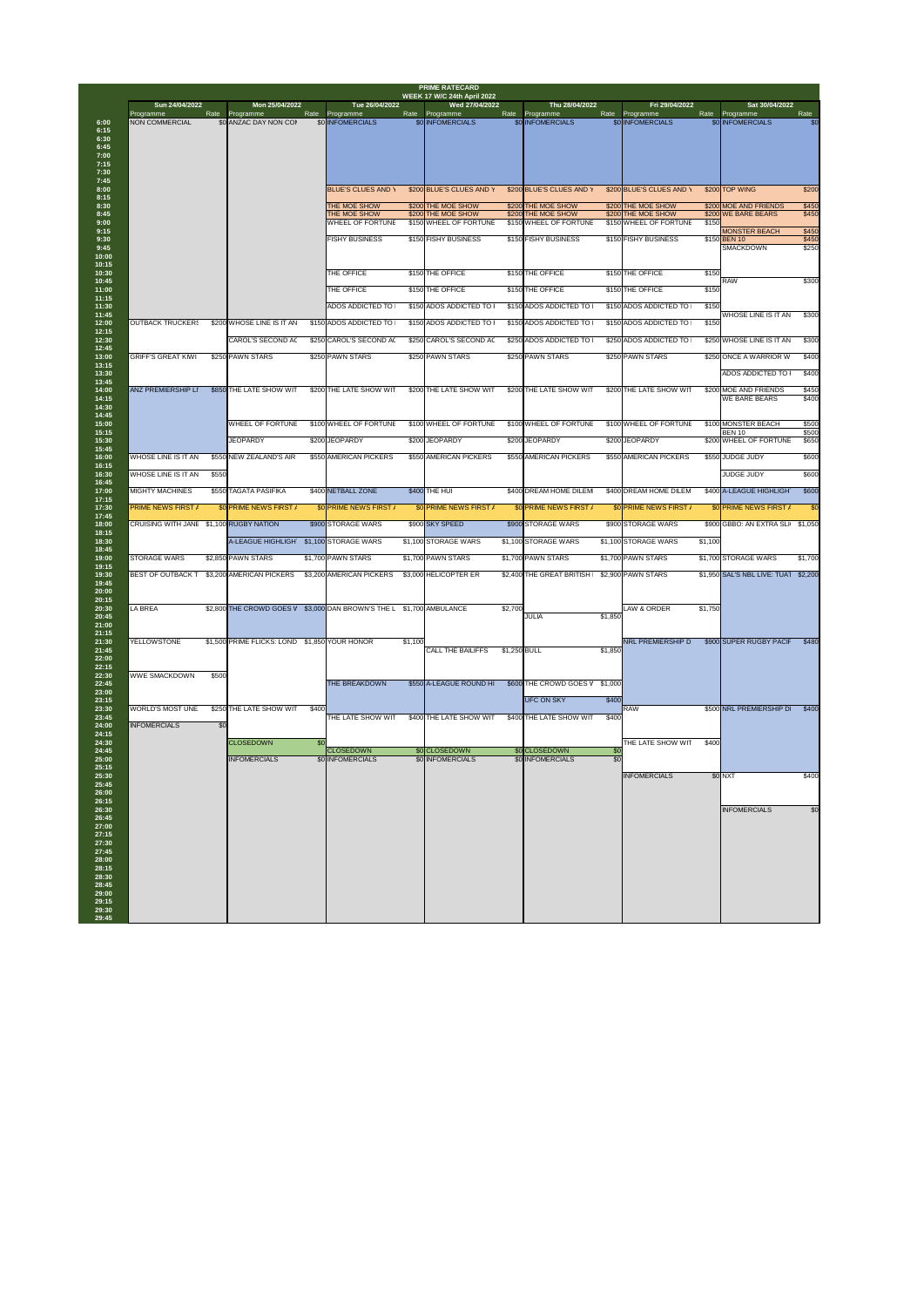| Sun 24/04/2022                                                       |       | Mon 25/04/2022                                     |       | Tue 26/04/2022                               |         | Wed 27/04/2022                            |              | Thu 28/04/2022                               |                 | Fri 29/04/2022                               |         | Sat 30/04/2022                                             |                |
|----------------------------------------------------------------------|-------|----------------------------------------------------|-------|----------------------------------------------|---------|-------------------------------------------|--------------|----------------------------------------------|-----------------|----------------------------------------------|---------|------------------------------------------------------------|----------------|
| Programme<br><b>NON COMMERCIAL</b>                                   | Rate  | Programme<br>\$0 ANZAC DAY NON COI                 | Rate  | Programme<br>\$0 INFOMERCIALS                | Rate    | Programme<br>\$0 INFOMERCIALS             |              | Rate Programme<br>\$0 INFOMERCIALS           | Rate            | Programme<br>\$0 INFOMERCIALS                |         | Rate Programme<br>\$0 INFOMERCIALS                         | Rate<br>\$0    |
|                                                                      |       |                                                    |       |                                              |         |                                           |              |                                              |                 |                                              |         |                                                            |                |
|                                                                      |       |                                                    |       |                                              |         |                                           |              |                                              |                 |                                              |         |                                                            |                |
|                                                                      |       |                                                    |       |                                              |         |                                           |              |                                              |                 |                                              |         |                                                            |                |
|                                                                      |       |                                                    |       | <b>BLUE'S CLUES AND Y</b>                    |         | \$200 BLUE'S CLUES AND Y                  |              | \$200 BLUE'S CLUES AND Y                     |                 | \$200 BLUE'S CLUES AND Y                     |         | \$200 TOP WING                                             | \$200          |
|                                                                      |       |                                                    |       | THE MOE SHOW<br>THE MOE SHOW                 |         | \$200 THE MOE SHOW<br>\$200 THE MOE SHOW  |              | \$200 THE MOE SHOW<br>\$200 THE MOE SHOW     |                 | \$200 THE MOE SHOW<br>\$200 THE MOE SHOW     |         | \$200 MOE AND FRIENDS<br>\$200 WE BARE BEARS               | \$450<br>\$450 |
|                                                                      |       |                                                    |       | <b>WHEEL OF FORTUNE</b>                      |         | \$150 WHEEL OF FORTUNE                    |              | \$150 WHEEL OF FORTUNE                       |                 | \$150 WHEEL OF FORTUNE                       | \$150   | <b>MONSTER BEACH</b>                                       | \$450          |
|                                                                      |       |                                                    |       | <b>FISHY BUSINESS</b>                        |         | \$150 FISHY BUSINESS                      |              | \$150 FISHY BUSINESS                         |                 | \$150 FISHY BUSINESS                         |         | \$150 BEN 10<br><b>SMACKDOWN</b>                           | \$450<br>\$250 |
|                                                                      |       |                                                    |       | THE OFFICE                                   |         | \$150 THE OFFICE                          |              | \$150 THE OFFICE                             |                 | \$150 THE OFFICE                             | \$150   | <b>RAW</b>                                                 | \$300          |
|                                                                      |       |                                                    |       | <b>THE OFFICE</b>                            |         | \$150 THE OFFICE                          |              | \$150 THE OFFICE                             |                 | \$150 THE OFFICE                             | \$150   |                                                            |                |
|                                                                      |       |                                                    |       | <b>ADOS ADDICTED TO</b>                      |         | \$150 ADOS ADDICTED TO                    |              | \$150 ADOS ADDICTED TO                       |                 | \$150 ADOS ADDICTED TO                       | \$150   | <b>WHOSE LINE IS IT AN</b>                                 | \$300          |
| <b>OUTBACK TRUCKERS</b>                                              |       | \$200 WHOSE LINE IS IT AN                          |       | \$150 ADOS ADDICTED TO                       |         | \$150 ADOS ADDICTED TO                    |              | \$150 ADOS ADDICTED TO                       |                 | \$150 ADOS ADDICTED TO                       | \$150   |                                                            |                |
|                                                                      |       | <b>CAROL'S SECOND AC</b>                           |       | \$250 CAROL'S SECOND AC                      |         | \$250 CAROL'S SECOND AC                   |              | \$250 ADOS ADDICTED TO                       |                 | \$250 ADOS ADDICTED TO                       |         | \$250 WHOSE LINE IS IT AN                                  | \$300          |
| <b>GRIFF'S GREAT KIWI</b>                                            |       | \$250 PAWN STARS                                   |       | \$250 PAWN STARS                             |         | \$250 PAWN STARS                          |              | \$250 PAWN STARS                             |                 | \$250 PAWN STARS                             |         | \$250 ONCE A WARRIOR W                                     | \$400          |
|                                                                      |       |                                                    |       |                                              |         |                                           |              |                                              |                 |                                              |         | <b>ADOS ADDICTED TO</b>                                    | \$400          |
| <b>ANZ PREMIERSHIP LI</b>                                            |       | \$850 THE LATE SHOW WIT                            |       | \$200 THE LATE SHOW WIT                      |         | \$200 THE LATE SHOW WIT                   |              | \$200 THE LATE SHOW WIT                      |                 | \$200 THE LATE SHOW WIT                      |         | \$200 MOE AND FRIENDS<br><b>WE BARE BEARS</b>              | \$450<br>\$400 |
|                                                                      |       |                                                    |       |                                              |         |                                           |              |                                              |                 |                                              |         |                                                            |                |
|                                                                      |       | <b>WHEEL OF FORTUNE</b>                            |       | \$100 WHEEL OF FORTUNE                       |         | \$100 WHEEL OF FORTUNE                    |              | \$100 WHEEL OF FORTUNE                       |                 | \$100 WHEEL OF FORTUNE                       |         | \$100 MONSTER BEACH<br><b>BEN 10</b>                       | \$500<br>\$500 |
|                                                                      |       | <b>JEOPARDY</b>                                    |       | \$200 JEOPARDY                               |         | \$200 JEOPARDY                            |              | \$200 JEOPARDY                               |                 | \$200 JEOPARDY                               |         | \$200 WHEEL OF FORTUNE                                     | \$650          |
| WHOSE LINE IS IT AN                                                  |       | \$550 NEW ZEALAND'S AIR                            |       | \$550 AMERICAN PICKERS                       |         | \$550 AMERICAN PICKERS                    |              | \$550 AMERICAN PICKERS                       |                 | \$550 AMERICAN PICKERS                       |         | \$550 JUDGE JUDY                                           | \$600          |
| WHOSE LINE IS IT AN                                                  | \$550 |                                                    |       |                                              |         |                                           |              |                                              |                 |                                              |         | <b>JUDGE JUDY</b>                                          | \$600          |
| <b>MIGHTY MACHINES</b>                                               |       | \$550 TAGATA PASIFIKA                              |       | \$400 NETBALL ZONE                           |         | \$400 THE HUI                             |              | \$400 DREAM HOME DILEM                       |                 | \$400 DREAM HOME DILEM                       |         | \$400 A-LEAGUE HIGHLIGH                                    | \$600          |
| <b>PRIME NEWS FIRST /</b><br>CRUISING WITH JANE \$1,100 RUGBY NATION |       | \$0 PRIME NEWS FIRST /                             |       | \$0 PRIME NEWS FIRST /<br>\$900 STORAGE WARS |         | \$0 PRIME NEWS FIRST /<br>\$900 SKY SPEED |              | \$0 PRIME NEWS FIRST /<br>\$900 STORAGE WARS |                 | \$0 PRIME NEWS FIRST /<br>\$900 STORAGE WARS |         | \$0 PRIME NEWS FIRST /<br>\$900 GBBO: AN EXTRA SLI \$1,050 | \$0            |
|                                                                      |       | <b>A-LEAGUE HIGHLIGH</b>                           |       | \$1,100 STORAGE WARS                         |         | \$1,100 STORAGE WARS                      |              | \$1,100 STORAGE WARS                         |                 | \$1,100 STORAGE WARS                         | \$1,100 |                                                            |                |
| <b>STORAGE WARS</b>                                                  |       | \$2,850 PAWN STARS                                 |       | \$1,700 PAWN STARS                           |         | \$1,700 PAWN STARS                        |              | \$1,700 PAWN STARS                           |                 | \$1,700 PAWN STARS                           |         | \$1,700 STORAGE WARS                                       | \$1,700        |
| <b>BEST OF OUTBACK T</b>                                             |       | \$3,200 AMERICAN PICKERS                           |       | \$3,200 AMERICAN PICKERS                     |         | \$3,000 HELICOPTER ER                     |              | \$2,400 THE GREAT BRITISH                    |                 | \$2,900 PAWN STARS                           |         | \$1,950 SAL'S NBL LIVE: TUAT                               | \$2,200        |
|                                                                      |       |                                                    |       |                                              |         |                                           |              |                                              |                 |                                              |         |                                                            |                |
| <b>LA BREA</b>                                                       |       | \$2,800 THE CROWD GOES V \$3,000 DAN BROWN'S THE L |       |                                              |         | \$1,700 AMBULANCE                         | \$2,700      |                                              |                 | <b>LAW &amp; ORDER</b>                       | \$1,750 |                                                            |                |
|                                                                      |       |                                                    |       |                                              |         |                                           |              | <b>JULIA</b>                                 | \$1,850         |                                              |         |                                                            |                |
| <b>YELLOWSTONE</b>                                                   |       | \$1,500 PRIME FLICKS: LOND \$1,850 YOUR HONOR      |       |                                              | \$1,100 |                                           |              |                                              |                 | <b>NRL PREMIERSHIP D</b>                     |         | \$900 SUPER RUGBY PACIF                                    | \$480          |
|                                                                      |       |                                                    |       |                                              |         | <b>CALL THE BAILIFFS</b>                  | \$1,250 BULL |                                              | \$1,850         |                                              |         |                                                            |                |
| <b>WWE SMACKDOWN</b>                                                 | \$500 |                                                    |       |                                              |         |                                           |              |                                              |                 |                                              |         |                                                            |                |
|                                                                      |       |                                                    |       | THE BREAKDOWN                                |         | \$550 A-LEAGUE ROUND HI                   |              | \$600 THE CROWD GOES V \$1,000               |                 |                                              |         |                                                            |                |
| <b>WORLD'S MOST UNE</b>                                              |       | \$250 THE LATE SHOW WIT                            | \$400 |                                              |         |                                           |              | <b>UFC ON SKY</b>                            | \$400           | <b>RAW</b>                                   |         | \$500 NRL PREMIERSHIP D                                    | \$400          |
| <b>INFOMERCIALS</b>                                                  | \$0   |                                                    |       | THE LATE SHOW WIT                            |         | \$400 THE LATE SHOW WIT                   |              | \$400 THE LATE SHOW WIT                      | \$400           |                                              |         |                                                            |                |
|                                                                      |       | <b>CLOSEDOWN</b>                                   | \$0   | <b>CLOSEDOWN</b>                             |         | \$0 CLOSEDOWN                             |              | \$0 CLOSEDOWN                                | \$0             | THE LATE SHOW WIT                            | \$400   |                                                            |                |
|                                                                      |       | <b>INFOMERCIALS</b>                                |       | \$0 INFOMERCIALS                             |         | \$0 INFOMERCIALS                          |              | \$0 INFOMERCIALS                             | $\overline{30}$ |                                              |         |                                                            |                |
|                                                                      |       |                                                    |       |                                              |         |                                           |              |                                              |                 | <b>INFOMERCIALS</b>                          |         | \$0 NXT                                                    | \$400          |
|                                                                      |       |                                                    |       |                                              |         |                                           |              |                                              |                 |                                              |         |                                                            |                |
|                                                                      |       |                                                    |       |                                              |         |                                           |              |                                              |                 |                                              |         | <b>INFOMERCIALS</b>                                        | \$0            |
|                                                                      |       |                                                    |       |                                              |         |                                           |              |                                              |                 |                                              |         |                                                            |                |
|                                                                      |       |                                                    |       |                                              |         |                                           |              |                                              |                 |                                              |         |                                                            |                |
|                                                                      |       |                                                    |       |                                              |         |                                           |              |                                              |                 |                                              |         |                                                            |                |
|                                                                      |       |                                                    |       |                                              |         |                                           |              |                                              |                 |                                              |         |                                                            |                |
|                                                                      |       |                                                    |       |                                              |         |                                           |              |                                              |                 |                                              |         |                                                            |                |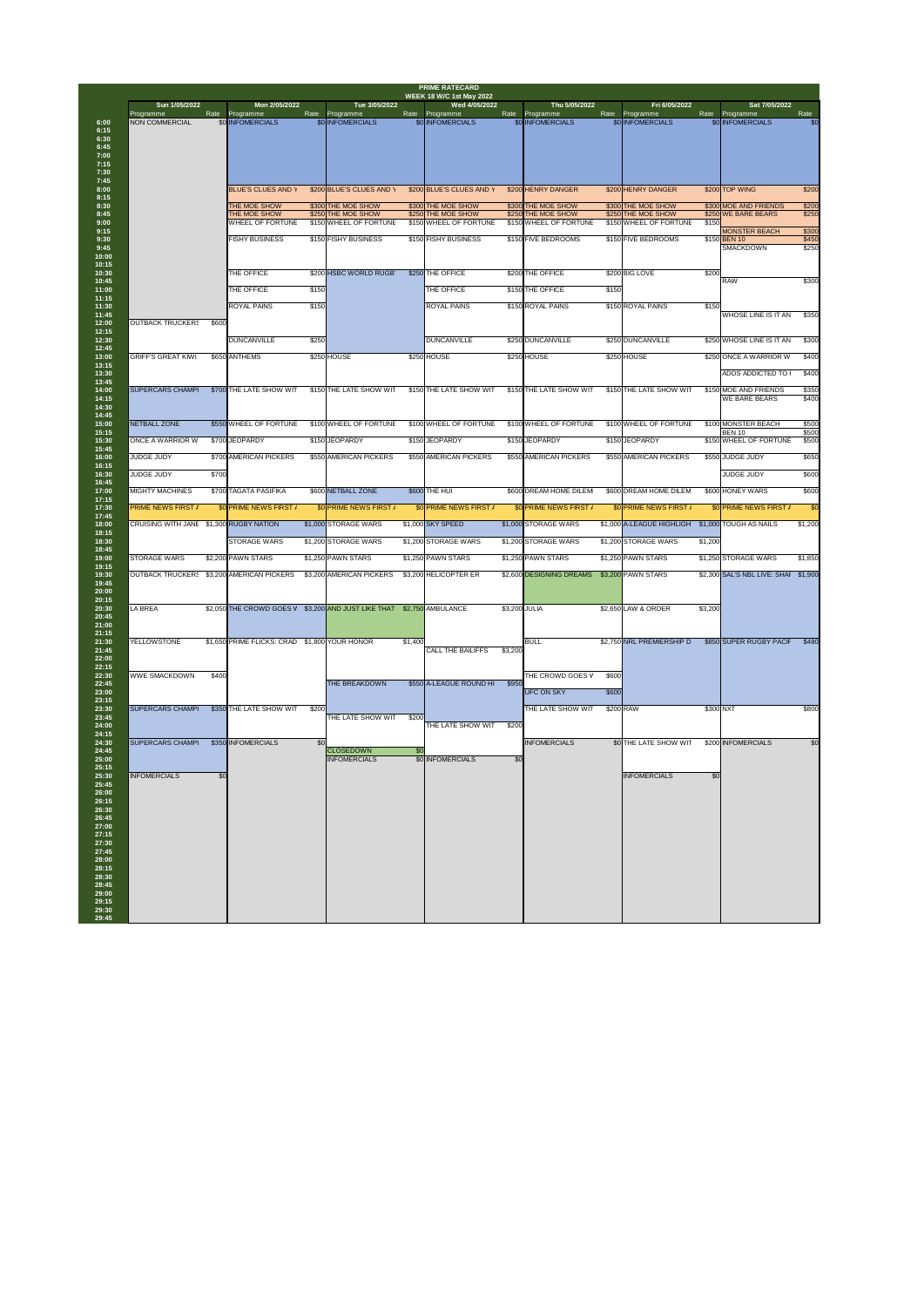| Sun 1/05/2022                             |       | Mon 2/05/2022                                 |       | Tue 3/05/2022                              |         | <b>WEEK 18 W/C 1st May 2022</b><br>Wed 4/05/2022 |               | Thu 5/05/2022                              |       | Fri 6/05/2022                              |         | Sat 7/05/2022                           |                |
|-------------------------------------------|-------|-----------------------------------------------|-------|--------------------------------------------|---------|--------------------------------------------------|---------------|--------------------------------------------|-------|--------------------------------------------|---------|-----------------------------------------|----------------|
| Programme<br><b>NON COMMERCIAL</b>        | Rate  | Programme<br>\$0 INFOMERCIALS                 | Rate  | Programme<br><b>\$0 INFOMERCIALS</b>       |         | Rate Programme<br>\$0 INFOMERCIALS               |               | Rate Programme<br>\$0 INFOMERCIALS         | Rate  | Programme<br>\$0 INFOMERCIALS              | Rate    | Programme<br>\$0 INFOMERCIALS           | Rate<br>\$0    |
|                                           |       |                                               |       |                                            |         |                                                  |               |                                            |       |                                            |         |                                         |                |
|                                           |       | <b>BLUE'S CLUES AND Y</b>                     |       | \$200 BLUE'S CLUES AND Y                   |         | \$200 BLUE'S CLUES AND Y                         |               | \$200 HENRY DANGER                         |       | \$200 HENRY DANGER                         |         | \$200 TOP WING                          | \$200          |
|                                           |       | THE MOE SHOW                                  |       | \$300 THE MOE SHOW                         |         | \$300 THE MOE SHOW                               |               | \$300 THE MOE SHOW                         |       | \$300 THE MOE SHOW                         |         | \$300 MOE AND FRIENDS                   | \$200          |
|                                           |       | THE MOE SHOW                                  |       | \$250 THE MOE SHOW                         |         | \$250 THE MOE SHOW                               |               | \$250 THE MOE SHOW                         |       | \$250 THE MOE SHOW                         |         | \$250 WE BARE BEARS                     | \$250          |
|                                           |       | <b>WHEEL OF FORTUNE</b>                       |       | \$150 WHEEL OF FORTUNE                     |         | \$150 WHEEL OF FORTUNE                           |               | \$150 WHEEL OF FORTUNE                     |       | \$150 WHEEL OF FORTUNE                     | \$150   | <b>MONSTER BEACH</b>                    | \$300          |
|                                           |       | <b>FISHY BUSINESS</b>                         |       | \$150 FISHY BUSINESS                       |         | \$150 FISHY BUSINESS                             |               | \$150 FIVE BEDROOMS                        |       | \$150 FIVE BEDROOMS                        |         | \$150 BEN 10<br><b>SMACKDOWN</b>        | \$450<br>\$250 |
|                                           |       | THE OFFICE                                    |       | \$200 HSBC WORLD RUGB                      |         | \$250 THE OFFICE                                 |               | \$200 THE OFFICE                           |       | \$200 BIG LOVE                             | \$200   | <b>RAW</b>                              | \$300          |
|                                           |       | THE OFFICE                                    | \$150 |                                            |         | THE OFFICE                                       |               | \$150 THE OFFICE                           | \$150 |                                            |         |                                         |                |
| <b>OUTBACK TRUCKERS</b>                   | \$600 | ROYAL PAINS                                   | \$150 |                                            |         | <b>ROYAL PAINS</b>                               |               | \$150 ROYAL PAINS                          |       | \$150 ROYAL PAINS                          | \$150   | <b>WHOSE LINE IS IT AN</b>              | \$350          |
|                                           |       | <b>DUNCANVILLE</b>                            | \$250 |                                            |         | <b>DUNCANVILLE</b>                               |               | \$250 DUNCANVILLE                          |       | \$250 DUNCANVILLE                          |         | \$250 WHOSE LINE IS IT AN               | \$300          |
| <b>GRIFF'S GREAT KIWI</b>                 |       | \$650 ANTHEMS                                 |       | \$250 HOUSE                                |         | \$250 HOUSE                                      |               | \$250 HOUSE                                |       | \$250 HOUSE                                |         | \$250 ONCE A WARRIOR W                  | \$400          |
|                                           |       |                                               |       |                                            |         |                                                  |               |                                            |       |                                            |         | <b>ADOS ADDICTED TO</b>                 | \$400          |
| <b>SUPERCARS CHAMP</b>                    |       | \$700 THE LATE SHOW WIT                       |       | \$150 THE LATE SHOW WIT                    |         | \$150 THE LATE SHOW WIT                          |               | \$150 THE LATE SHOW WIT                    |       | \$150 THE LATE SHOW WIT                    |         | \$150 MOE AND FRIENDS<br>WE BARE BEARS  | \$350<br>\$400 |
| <b>NETBALL ZONE</b>                       |       | \$550 WHEEL OF FORTUNE                        |       | \$100 WHEEL OF FORTUNE                     |         | \$100 WHEEL OF FORTUNE                           |               | \$100 WHEEL OF FORTUNE                     |       | \$100 WHEEL OF FORTUNE                     |         | \$100 MONSTER BEACH                     | \$500          |
| <b>ONCE A WARRIOR W</b>                   |       | \$700 JEOPARDY                                |       | \$150 JEOPARDY                             |         | \$150 JEOPARDY                                   |               | \$150 JEOPARDY                             |       | \$150 JEOPARDY                             |         | <b>BEN 10</b><br>\$150 WHEEL OF FORTUNE | \$500<br>\$500 |
| <b>JUDGE JUDY</b>                         |       | \$700 AMERICAN PICKERS                        |       | \$550 AMERICAN PICKERS                     |         | \$550 AMERICAN PICKERS                           |               | \$550 AMERICAN PICKERS                     |       | \$550 AMERICAN PICKERS                     |         | \$550 JUDGE JUDY                        | \$650          |
| <b>JUDGE JUDY</b>                         | \$700 |                                               |       |                                            |         |                                                  |               |                                            |       |                                            |         | <b>JUDGE JUDY</b>                       | \$600          |
| <b>MIGHTY MACHINES</b>                    |       | \$700 TAGATA PASIFIKA                         |       | \$600 NETBALL ZONE                         |         | \$600 THE HUI                                    |               | \$600 DREAM HOME DILEM                     |       | \$600 DREAM HOME DILEM                     |         | \$600 HONEY WARS                        | \$600          |
| <b>PRIME NEWS FIRST /</b>                 |       | \$0 PRIME NEWS FIRST /                        |       | \$0 PRIME NEWS FIRST /                     |         | \$0 PRIME NEWS FIRST /                           |               | \$0 PRIME NEWS FIRST /                     |       | \$0 PRIME NEWS FIRST /                     |         | \$0 PRIME NEWS FIRST /                  | \$0            |
|                                           |       |                                               |       |                                            |         |                                                  |               |                                            |       |                                            |         |                                         |                |
| CRUISING WITH JANE \$1,300 RUGBY NATION   |       |                                               |       | \$1,000 STORAGE WARS                       |         | \$1,000 SKY SPEED                                |               | \$1,000 STORAGE WARS                       |       | \$1,000 A-LEAGUE HIGHLIGH                  |         | \$1,000 TOUGH AS NAILS                  | \$1,200        |
| <b>STORAGE WARS</b>                       |       | <b>STORAGE WARS</b><br>\$2,200 PAWN STARS     |       | \$1,200 STORAGE WARS<br>\$1,250 PAWN STARS |         | \$1,200 STORAGE WARS<br>\$1,250 PAWN STARS       |               | \$1,200 STORAGE WARS<br>\$1,250 PAWN STARS |       | \$1,200 STORAGE WARS<br>\$1,250 PAWN STARS | \$1,200 | \$1,250 STORAGE WARS                    | \$1,850        |
| OUTBACK TRUCKER: \$3,200 AMERICAN PICKERS |       |                                               |       | \$3,200 AMERICAN PICKERS                   |         | \$3,200 HELICOPTER ER                            |               | \$2,600 DESIGNING DREAMS                   |       | \$3,200 PAWN STARS                         |         | \$2,300 SAL'S NBL LIVE: SHAI \$1,900    |                |
|                                           |       |                                               |       |                                            |         |                                                  |               |                                            |       |                                            |         |                                         |                |
| <b>LA BREA</b>                            |       | \$2,050 THE CROWD GOES V                      |       | \$3,200 AND JUST LIKE THAT                 |         | \$2,750 AMBULANCE                                | \$3,200 JULIA |                                            |       | \$2,650 LAW & ORDER                        | \$3,200 |                                         |                |
|                                           |       |                                               |       |                                            |         |                                                  |               |                                            |       |                                            |         |                                         |                |
| <b>YELLOWSTONE</b>                        |       | \$1,650 PRIME FLICKS: CRAD \$1,800 YOUR HONOR |       |                                            | \$1,400 | <b>CALL THE BAILIFFS</b>                         | \$3,200       | <b>BULL</b>                                |       | \$2,750 NRL PREMIERSHIP D                  |         | \$850 SUPER RUGBY PACIF                 | \$480          |
| <b>WWE SMACKDOWN</b>                      | \$400 |                                               |       |                                            |         |                                                  |               | THE CROWD GOES V                           | \$600 |                                            |         |                                         |                |
|                                           |       |                                               |       | THE BREAKDOWN                              |         | \$550 A-LEAGUE ROUND HI                          | \$950         | UFC ON SKY                                 | \$600 |                                            |         |                                         |                |
| <b>SUPERCARS CHAMPI</b>                   |       | \$350 THE LATE SHOW WIT                       | \$200 |                                            |         |                                                  |               | THE LATE SHOW WIT                          |       | \$200 RAW                                  |         | \$300 NXT                               | \$800          |
|                                           |       |                                               |       | THE LATE SHOW WIT                          | \$200   | THE LATE SHOW WIT                                | \$200         |                                            |       |                                            |         |                                         |                |
| <b>SUPERCARS CHAMP</b>                    |       | \$350 INFOMERCIALS                            | \$0   |                                            |         |                                                  |               | <b>INFOMERCIALS</b>                        |       | \$0 THE LATE SHOW WIT                      |         | \$200 INFOMERCIALS                      | \$0            |
|                                           |       |                                               |       | <b>CLOSEDOWN</b><br><b>INFOMERCIALS</b>    | \$0     | \$0 INFOMERCIALS                                 | \$0           |                                            |       |                                            |         |                                         |                |
| <b>INFOMERCIALS</b>                       | \$0   |                                               |       |                                            |         |                                                  |               |                                            |       | <b>INFOMERCIALS</b>                        | \$0     |                                         |                |
|                                           |       |                                               |       |                                            |         |                                                  |               |                                            |       |                                            |         |                                         |                |
|                                           |       |                                               |       |                                            |         |                                                  |               |                                            |       |                                            |         |                                         |                |
|                                           |       |                                               |       |                                            |         |                                                  |               |                                            |       |                                            |         |                                         |                |
|                                           |       |                                               |       |                                            |         |                                                  |               |                                            |       |                                            |         |                                         |                |
|                                           |       |                                               |       |                                            |         |                                                  |               |                                            |       |                                            |         |                                         |                |
|                                           |       |                                               |       |                                            |         |                                                  |               |                                            |       |                                            |         |                                         |                |
|                                           |       |                                               |       |                                            |         |                                                  |               |                                            |       |                                            |         |                                         |                |
|                                           |       |                                               |       |                                            |         |                                                  |               |                                            |       |                                            |         |                                         |                |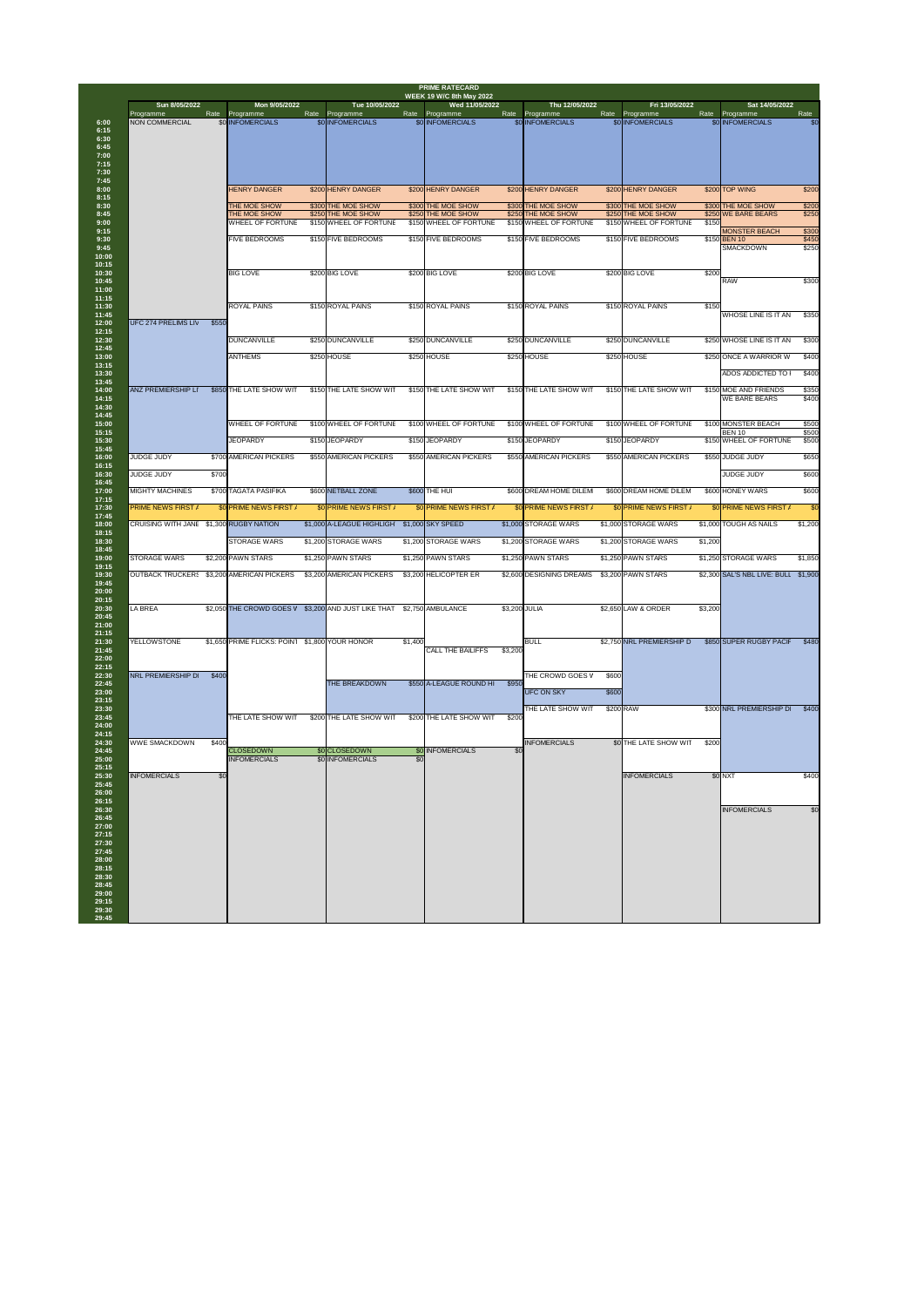| Sun 8/05/2022                             |       | Mon 9/05/2022                                  |      | Tue 10/05/2022                           |         | <b>WEEK 19 W/C 8th May 2022</b><br>Wed 11/05/2022 |               | Thu 12/05/2022                           |       | Fri 13/05/2022                           |         | Sat 14/05/2022                            |                |
|-------------------------------------------|-------|------------------------------------------------|------|------------------------------------------|---------|---------------------------------------------------|---------------|------------------------------------------|-------|------------------------------------------|---------|-------------------------------------------|----------------|
| Programme<br><b>NON COMMERCIAL</b>        | Rate  | Programme<br>\$0 INFOMERCIALS                  | Rate | Programme<br>\$0 INFOMERCIALS            |         | Rate Programme<br>\$0 INFOMERCIALS                |               | Rate Programme<br>\$0 INFOMERCIALS       | Rate  | Programme<br>\$0 INFOMERCIALS            | Rate    | Programme<br>\$0 INFOMERCIALS             | Rate<br>\$0    |
|                                           |       |                                                |      |                                          |         |                                                   |               |                                          |       |                                          |         |                                           |                |
|                                           |       |                                                |      |                                          |         |                                                   |               |                                          |       |                                          |         |                                           |                |
|                                           |       |                                                |      |                                          |         |                                                   |               |                                          |       |                                          |         |                                           |                |
|                                           |       | <b>HENRY DANGER</b>                            |      | \$200 HENRY DANGER                       |         | \$200 HENRY DANGER                                |               | \$200 HENRY DANGER                       |       | \$200 HENRY DANGER                       |         | \$200 TOP WING                            | \$200          |
|                                           |       | THE MOE SHOW<br>THE MOE SHOW                   |      | \$300 THE MOE SHOW<br>\$250 THE MOE SHOW |         | \$300 THE MOE SHOW<br>\$250 THE MOE SHOW          |               | \$300 THE MOE SHOW<br>\$250 THE MOE SHOW |       | \$300 THE MOE SHOW<br>\$250 THE MOE SHOW |         | \$300 THE MOE SHOW<br>\$250 WE BARE BEARS | \$200<br>\$250 |
|                                           |       | <b>WHEEL OF FORTUNE</b>                        |      | \$150 WHEEL OF FORTUNE                   |         | \$150 WHEEL OF FORTUNE                            |               | \$150 WHEEL OF FORTUNE                   |       | \$150 WHEEL OF FORTUNE                   | \$150   | <b>MONSTER BEACH</b>                      | \$300          |
|                                           |       | <b>FIVE BEDROOMS</b>                           |      | \$150 FIVE BEDROOMS                      |         | \$150 FIVE BEDROOMS                               |               | \$150 FIVE BEDROOMS                      |       | \$150 FIVE BEDROOMS                      |         | \$150 BEN 10                              | \$450          |
|                                           |       |                                                |      |                                          |         |                                                   |               |                                          |       |                                          |         | <b>SMACKDOWN</b>                          | \$250          |
|                                           |       | <b>BIG LOVE</b>                                |      | \$200 BIG LOVE                           |         | \$200 BIG LOVE                                    |               | \$200 BIG LOVE                           |       | \$200 BIG LOVE                           | \$200   | <b>RAW</b>                                |                |
|                                           |       |                                                |      |                                          |         |                                                   |               |                                          |       |                                          |         |                                           | \$300          |
|                                           |       | ROYAL PAINS                                    |      | \$150 ROYAL PAINS                        |         | \$150 ROYAL PAINS                                 |               | \$150 ROYAL PAINS                        |       | \$150 ROYAL PAINS                        | \$150   |                                           |                |
| <b>UFC 274 PRELIMS LIV</b>                | \$550 |                                                |      |                                          |         |                                                   |               |                                          |       |                                          |         | <b>WHOSE LINE IS IT AN</b>                | \$350          |
|                                           |       | <b>DUNCANVILLE</b>                             |      | \$250 DUNCANVILLE                        |         | \$250 DUNCANVILLE                                 |               | \$250 DUNCANVILLE                        |       | \$250 DUNCANVILLE                        |         | \$250 WHOSE LINE IS IT AN                 | \$300          |
|                                           |       | <b>ANTHEMS</b>                                 |      | \$250 HOUSE                              |         | \$250 HOUSE                                       |               | \$250 HOUSE                              |       | \$250 HOUSE                              |         | \$250 ONCE A WARRIOR W                    | \$400          |
|                                           |       |                                                |      |                                          |         |                                                   |               |                                          |       |                                          |         | ADOS ADDICTED TO                          | \$400          |
| <b>ANZ PREMIERSHIP LI</b>                 |       | \$850 THE LATE SHOW WIT                        |      | \$150 THE LATE SHOW WIT                  |         | \$150 THE LATE SHOW WIT                           |               | \$150 THE LATE SHOW WIT                  |       | \$150 THE LATE SHOW WIT                  |         | \$150 MOE AND FRIENDS                     | \$350          |
|                                           |       |                                                |      |                                          |         |                                                   |               |                                          |       |                                          |         | <b>WE BARE BEARS</b>                      | \$400          |
|                                           |       | <b>WHEEL OF FORTUNE</b>                        |      | \$100 WHEEL OF FORTUNE                   |         | \$100 WHEEL OF FORTUNE                            |               | \$100 WHEEL OF FORTUNE                   |       | \$100 WHEEL OF FORTUNE                   |         | \$100 MONSTER BEACH                       | \$500          |
|                                           |       | <b>JEOPARDY</b>                                |      | \$150 JEOPARDY                           |         | \$150 JEOPARDY                                    |               | \$150 JEOPARDY                           |       | \$150 JEOPARDY                           |         | <b>BEN 10</b><br>\$150 WHEEL OF FORTUNE   | \$500<br>\$500 |
| <b>JUDGE JUDY</b>                         |       | \$700 AMERICAN PICKERS                         |      | \$550 AMERICAN PICKERS                   |         | \$550 AMERICAN PICKERS                            |               | \$550 AMERICAN PICKERS                   |       | \$550 AMERICAN PICKERS                   |         | \$550 JUDGE JUDY                          | \$650          |
| <b>JUDGE JUDY</b>                         | \$700 |                                                |      |                                          |         |                                                   |               |                                          |       |                                          |         | <b>JUDGE JUDY</b>                         | \$600          |
| <b>MIGHTY MACHINES</b>                    |       | \$700 TAGATA PASIFIKA                          |      | \$600 NETBALL ZONE                       |         | \$600 THE HUI                                     |               | \$600 DREAM HOME DILEM                   |       | \$600 DREAM HOME DILEM                   |         | \$600 HONEY WARS                          | \$600          |
| <b>PRIME NEWS FIRST /</b>                 |       | \$0 PRIME NEWS FIRST /                         |      | \$0 PRIME NEWS FIRST /                   |         | \$0 PRIME NEWS FIRST /                            |               | \$0 PRIME NEWS FIRST /                   |       | \$0 PRIME NEWS FIRST /                   |         | <b>\$0 PRIME NEWS FIRST /</b>             | \$0            |
| CRUISING WITH JANE \$1,300 RUGBY NATION   |       |                                                |      | \$1,000 A-LEAGUE HIGHLIGH                |         | \$1,000 SKY SPEED                                 |               | \$1,000 STORAGE WARS                     |       | \$1,000 STORAGE WARS                     |         | \$1,000 TOUGH AS NAILS                    | \$1,200        |
|                                           |       | <b>STORAGE WARS</b>                            |      | \$1,200 STORAGE WARS                     |         | \$1,200 STORAGE WARS                              |               | \$1,200 STORAGE WARS                     |       | \$1,200 STORAGE WARS                     | \$1,200 |                                           |                |
| <b>STORAGE WARS</b>                       |       | \$2,200 PAWN STARS                             |      | \$1,250 PAWN STARS                       |         | \$1,250 PAWN STARS                                |               | \$1,250 PAWN STARS                       |       | \$1,250 PAWN STARS                       |         | \$1,250 STORAGE WARS                      | \$1,850        |
| OUTBACK TRUCKER: \$3,200 AMERICAN PICKERS |       |                                                |      | \$3,200 AMERICAN PICKERS                 |         | \$3,200 HELICOPTER ER                             |               | \$2,600 DESIGNING DREAMS                 |       | \$3,200 PAWN STARS                       |         | \$2,300 SAL'S NBL LIVE: BULL \$1,900      |                |
|                                           |       |                                                |      |                                          |         |                                                   |               |                                          |       |                                          |         |                                           |                |
| <b>LA BREA</b>                            |       | \$2,050 THE CROWD GOES V                       |      | \$3,200 AND JUST LIKE THAT               |         | \$2,750 AMBULANCE                                 | \$3,200 JULIA |                                          |       | \$2,650 LAW & ORDER                      | \$3,200 |                                           |                |
|                                           |       |                                                |      |                                          |         |                                                   |               |                                          |       |                                          |         |                                           |                |
| <b>YELLOWSTONE</b>                        |       | \$1,650 PRIME FLICKS: POIN1 \$1,800 YOUR HONOR |      |                                          | \$1,400 |                                                   |               | <b>BULL</b>                              |       | \$2,750 NRL PREMIERSHIP D                |         | \$850 SUPER RUGBY PACIF                   | \$480          |
|                                           |       |                                                |      |                                          |         | <b>CALL THE BAILIFFS</b>                          | \$3,200       |                                          |       |                                          |         |                                           |                |
| NRL PREMIERSHIP D                         | \$400 |                                                |      |                                          |         |                                                   |               | THE CROWD GOES V                         | \$600 |                                          |         |                                           |                |
|                                           |       |                                                |      | <b>THE BREAKDOWN</b>                     |         | \$550 A-LEAGUE ROUND HI                           | \$950         | <b>UFC ON SKY</b>                        | \$600 |                                          |         |                                           |                |
|                                           |       |                                                |      |                                          |         |                                                   |               | THE LATE SHOW WIT                        |       | \$200 RAW                                |         | \$300 NRL PREMIERSHIP D                   | \$400          |
|                                           |       | THE LATE SHOW WIT                              |      | \$200 THE LATE SHOW WIT                  |         | \$200 THE LATE SHOW WIT                           | \$200         |                                          |       |                                          |         |                                           |                |
| <b>WWE SMACKDOWN</b>                      | \$400 |                                                |      |                                          |         |                                                   |               | <b>INFOMERCIALS</b>                      |       | \$0 THE LATE SHOW WIT                    | \$200   |                                           |                |
|                                           |       | <b>CLOSEDOWN</b><br><b>INFOMERCIALS</b>        |      | \$0 CLOSEDOWN<br>\$0 INFOMERCIALS        | \$0     | <b>\$0 INFOMERCIALS</b>                           | \$0           |                                          |       |                                          |         |                                           |                |
| <b>INFOMERCIALS</b>                       | \$0   |                                                |      |                                          |         |                                                   |               |                                          |       | <b>INFOMERCIALS</b>                      |         | \$0 NXT                                   | \$400          |
|                                           |       |                                                |      |                                          |         |                                                   |               |                                          |       |                                          |         |                                           |                |
|                                           |       |                                                |      |                                          |         |                                                   |               |                                          |       |                                          |         | <b>INFOMERCIALS</b>                       | \$0            |
|                                           |       |                                                |      |                                          |         |                                                   |               |                                          |       |                                          |         |                                           |                |
|                                           |       |                                                |      |                                          |         |                                                   |               |                                          |       |                                          |         |                                           |                |
|                                           |       |                                                |      |                                          |         |                                                   |               |                                          |       |                                          |         |                                           |                |
|                                           |       |                                                |      |                                          |         |                                                   |               |                                          |       |                                          |         |                                           |                |
|                                           |       |                                                |      |                                          |         |                                                   |               |                                          |       |                                          |         |                                           |                |
|                                           |       |                                                |      |                                          |         |                                                   |               |                                          |       |                                          |         |                                           |                |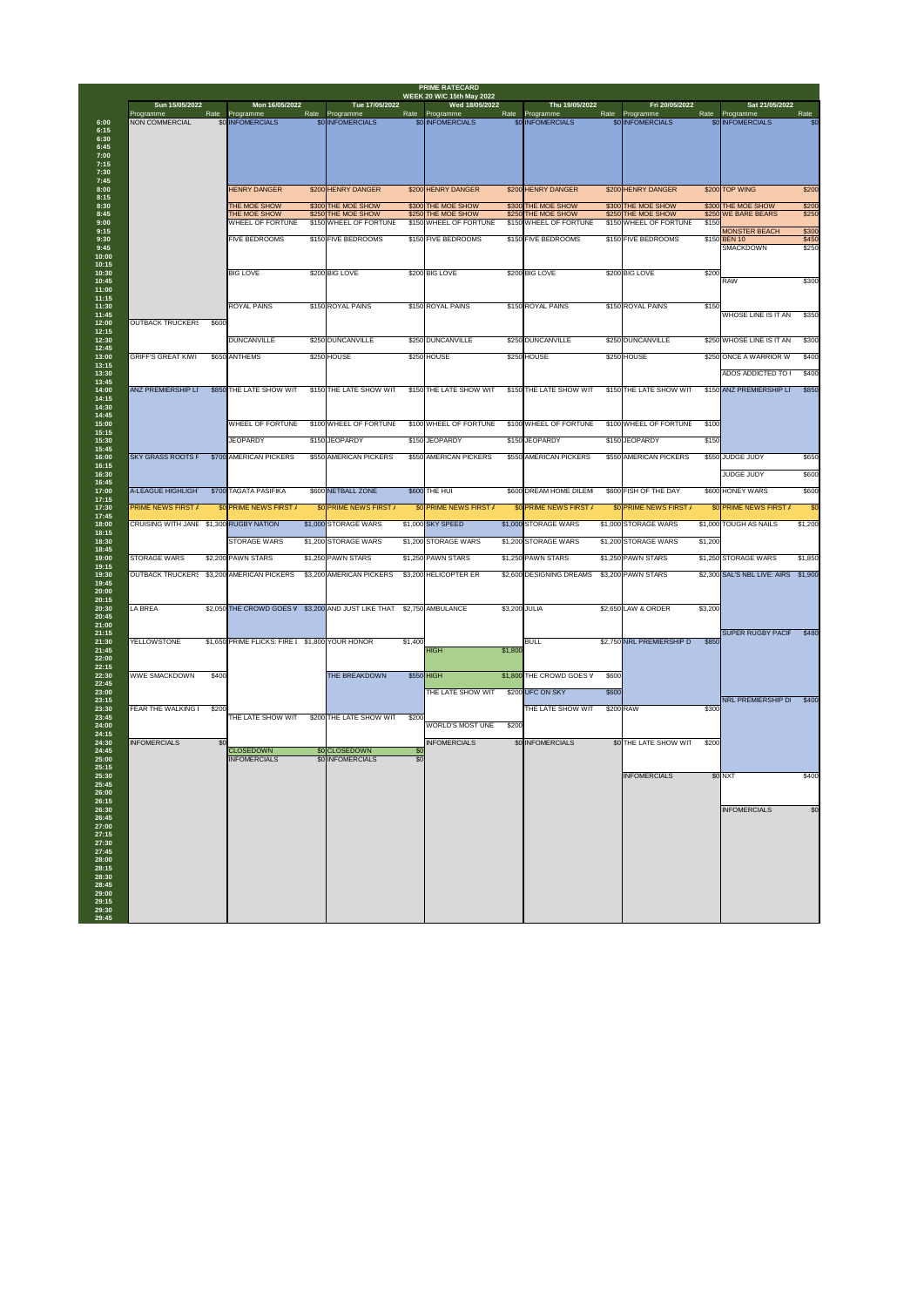| Sun 15/05/2022                            |       | Mon 16/05/2022                                  |      | Tue 17/05/2022                               |                        | <b>WEEK 20 W/C 15th May 2022</b><br>Wed 18/05/2022 |               | Thu 19/05/2022                               |       | Fri 20/05/2022                               |         | Sat 21/05/2022                       |                |
|-------------------------------------------|-------|-------------------------------------------------|------|----------------------------------------------|------------------------|----------------------------------------------------|---------------|----------------------------------------------|-------|----------------------------------------------|---------|--------------------------------------|----------------|
| Programme<br><b>NON COMMERCIAL</b>        |       | Rate Programme<br>\$0 INFOMERCIALS              | Rate | Programme<br>\$0 INFOMERCIALS                | Rate                   | Programme<br>\$0 INFOMERCIALS                      | Rate          | Programme<br>\$0 INFOMERCIALS                | Rate  | Programme<br>\$0 INFOMERCIALS                |         | Rate Programme<br>\$0 INFOMERCIALS   | Rate<br>\$0    |
|                                           |       | <b>HENRY DANGER</b>                             |      | \$200 HENRY DANGER                           |                        | \$200 HENRY DANGER                                 |               | \$200 HENRY DANGER                           |       | \$200 HENRY DANGER                           |         | \$200 TOP WING                       | \$200          |
|                                           |       | THE MOE SHOW                                    |      | \$300 THE MOE SHOW                           |                        | \$300 THE MOE SHOW                                 |               | \$300 THE MOE SHOW                           |       | \$300 THE MOE SHOW                           |         | \$300 THE MOE SHOW                   | \$200          |
|                                           |       | THE MOE SHOW<br><b>WHEEL OF FORTUNE</b>         |      | \$250 THE MOE SHOW<br>\$150 WHEEL OF FORTUNE |                        | \$250 THE MOE SHOW<br>\$150 WHEEL OF FORTUNE       |               | \$250 THE MOE SHOW<br>\$150 WHEEL OF FORTUNE |       | \$250 THE MOE SHOW<br>\$150 WHEEL OF FORTUNE | \$150   | \$250 WE BARE BEARS                  | \$250          |
|                                           |       | <b>FIVE BEDROOMS</b>                            |      | \$150 FIVE BEDROOMS                          |                        | \$150 FIVE BEDROOMS                                |               | \$150 FIVE BEDROOMS                          |       | \$150 FIVE BEDROOMS                          |         | <b>MONSTER BEACH</b><br>\$150 BEN 10 | \$300<br>\$450 |
|                                           |       |                                                 |      |                                              |                        |                                                    |               |                                              |       |                                              |         | <b>SMACKDOWN</b>                     | \$250          |
|                                           |       | <b>BIG LOVE</b>                                 |      | \$200 BIG LOVE                               |                        | \$200 BIG LOVE                                     |               | \$200 BIG LOVE                               |       | \$200 BIG LOVE                               | \$200   | <b>RAW</b>                           | \$300          |
| <b>OUTBACK TRUCKERS</b>                   | \$600 | <b>ROYAL PAINS</b>                              |      | \$150 ROYAL PAINS                            |                        | \$150 ROYAL PAINS                                  |               | \$150 ROYAL PAINS                            |       | \$150 ROYAL PAINS                            | \$150   | <b>WHOSE LINE IS IT AN</b>           | \$350          |
|                                           |       | <b>DUNCANVILLE</b>                              |      | \$250 DUNCANVILLE                            |                        | \$250 DUNCANVILLE                                  |               | \$250 DUNCANVILLE                            |       | \$250 DUNCANVILLE                            |         | \$250 WHOSE LINE IS IT AN            | \$300          |
| <b>GRIFF'S GREAT KIWI</b>                 |       | \$650 ANTHEMS                                   |      | \$250 HOUSE                                  |                        | \$250 HOUSE                                        |               | \$250 HOUSE                                  |       | \$250 HOUSE                                  |         | \$250 ONCE A WARRIOR W               | \$400          |
|                                           |       |                                                 |      |                                              |                        |                                                    |               |                                              |       |                                              |         | ADOS ADDICTED TO                     | \$400          |
| <b>ANZ PREMIERSHIP LI</b>                 |       | \$850 THE LATE SHOW WIT                         |      | \$150 THE LATE SHOW WIT                      |                        | \$150 THE LATE SHOW WIT                            |               | \$150 THE LATE SHOW WIT                      |       | \$150 THE LATE SHOW WIT                      |         | \$150 ANZ PREMIERSHIP LI             | \$850          |
|                                           |       |                                                 |      |                                              |                        |                                                    |               |                                              |       |                                              |         |                                      |                |
|                                           |       | <b>WHEEL OF FORTUNE</b>                         |      | \$100 WHEEL OF FORTUNE                       |                        | \$100 WHEEL OF FORTUNE                             |               | \$100 WHEEL OF FORTUNE                       |       | \$100 WHEEL OF FORTUNE                       | \$100   |                                      |                |
|                                           |       | <b>JEOPARDY</b>                                 |      | \$150 JEOPARDY                               |                        | \$150 JEOPARDY                                     |               | \$150 JEOPARDY                               |       | \$150 JEOPARDY                               | \$150   |                                      |                |
| <b>SKY GRASS ROOTS F</b>                  |       | \$700 AMERICAN PICKERS                          |      | \$550 AMERICAN PICKERS                       |                        | \$550 AMERICAN PICKERS                             |               | \$550 AMERICAN PICKERS                       |       | \$550 AMERICAN PICKERS                       |         | \$550 JUDGE JUDY                     | \$650          |
|                                           |       |                                                 |      |                                              |                        |                                                    |               |                                              |       |                                              |         | <b>JUDGE JUDY</b>                    | \$600          |
| <b>A-LEAGUE HIGHLIGH</b>                  |       | \$700 TAGATA PASIFIKA                           |      | \$600 NETBALL ZONE                           |                        | \$600 THE HUI                                      |               | \$600 DREAM HOME DILEM                       |       | \$600 FISH OF THE DAY                        |         | \$600 HONEY WARS                     | \$600          |
| <b>PRIME NEWS FIRST /</b>                 |       | \$0 PRIME NEWS FIRST /                          |      | \$0 PRIME NEWS FIRST /                       |                        | \$0 PRIME NEWS FIRST /                             |               | \$0 PRIME NEWS FIRST /                       |       | \$0 PRIME NEWS FIRST /                       |         | \$0 PRIME NEWS FIRST /               | \$0            |
| CRUISING WITH JANE \$1,300 RUGBY NATION   |       |                                                 |      | \$1,000 STORAGE WARS                         |                        | \$1,000 SKY SPEED                                  |               | \$1,000 STORAGE WARS                         |       | \$1,000 STORAGE WARS                         |         | \$1,000 TOUGH AS NAILS               | \$1,200        |
|                                           |       | <b>STORAGE WARS</b>                             |      | \$1,200 STORAGE WARS                         |                        | \$1,200 STORAGE WARS                               |               | \$1,200 STORAGE WARS                         |       | \$1,200 STORAGE WARS                         | \$1,200 |                                      |                |
| <b>STORAGE WARS</b>                       |       | \$2,200 PAWN STARS                              |      | \$1,250 PAWN STARS                           |                        | \$1,250 PAWN STARS                                 |               | \$1,250 PAWN STARS                           |       | \$1,250 PAWN STARS                           |         | \$1,250 STORAGE WARS                 | \$1,850        |
| OUTBACK TRUCKER: \$3,200 AMERICAN PICKERS |       |                                                 |      | \$3,200 AMERICAN PICKERS                     |                        | \$3,200 HELICOPTER ER                              |               | \$2,600 DESIGNING DREAMS                     |       | \$3,200 PAWN STARS                           |         | \$2,300 SAL'S NBL LIVE: AIRS \$1,900 |                |
|                                           |       |                                                 |      |                                              |                        |                                                    |               |                                              |       |                                              |         |                                      |                |
| LA BREA                                   |       | \$2,050 THE CROWD GOES V                        |      | \$3,200 AND JUST LIKE THAT                   |                        | \$2,750 AMBULANCE                                  | \$3,200 JULIA |                                              |       | \$2,650 LAW & ORDER                          | \$3,200 |                                      |                |
|                                           |       |                                                 |      |                                              |                        |                                                    |               |                                              |       |                                              |         |                                      |                |
| <b>YELLOWSTONE</b>                        |       | \$1,650 PRIME FLICKS: FIRE I \$1,800 YOUR HONOR |      |                                              | \$1,400                |                                                    |               | <b>BULL</b>                                  |       | \$2,750 NRL PREMIERSHIP D                    | \$850   | <b>SUPER RUGBY PACIF</b>             | \$480          |
|                                           |       |                                                 |      |                                              |                        | <b>HIGH</b>                                        | \$1,800       |                                              |       |                                              |         |                                      |                |
|                                           |       |                                                 |      |                                              |                        |                                                    |               |                                              |       |                                              |         |                                      |                |
| <b>WWE SMACKDOWN</b>                      | \$400 |                                                 |      | <b>THE BREAKDOWN</b>                         |                        | \$550 HIGH                                         |               | \$1,800 THE CROWD GOES V                     | \$600 |                                              |         |                                      |                |
|                                           |       |                                                 |      |                                              |                        | THE LATE SHOW WIT                                  |               | \$200 UFC ON SKY                             | \$600 |                                              |         | <b>NRL PREMIERSHIP D</b>             | \$400          |
| <b>FEAR THE WALKING</b>                   | \$200 | THE LATE SHOW WIT                               |      | \$200 THE LATE SHOW WIT                      | \$200                  |                                                    |               | THE LATE SHOW WIT                            |       | \$200 RAW                                    | \$300   |                                      |                |
|                                           |       |                                                 |      |                                              |                        | <b>WORLD'S MOST UNE</b>                            | \$200         |                                              |       |                                              |         |                                      |                |
|                                           |       |                                                 |      |                                              |                        | <b>INFOMERCIALS</b>                                |               | \$0 INFOMERCIALS                             |       | \$0 THE LATE SHOW WIT                        | \$200   |                                      |                |
| <b>INFOMERCIALS</b>                       | \$0   |                                                 |      |                                              |                        |                                                    |               |                                              |       |                                              |         |                                      |                |
|                                           |       | <b>CLOSEDOWN</b><br><b>INFOMERCIALS</b>         |      | \$0 CLOSEDOWN<br>\$0 INFOMERCIALS            | \$0<br>$\overline{30}$ |                                                    |               |                                              |       |                                              |         |                                      |                |
|                                           |       |                                                 |      |                                              |                        |                                                    |               |                                              |       | <b>INFOMERCIALS</b>                          |         | \$0 NXT                              |                |
|                                           |       |                                                 |      |                                              |                        |                                                    |               |                                              |       |                                              |         |                                      | \$400          |
|                                           |       |                                                 |      |                                              |                        |                                                    |               |                                              |       |                                              |         | <b>INFOMERCIALS</b>                  | \$0            |
|                                           |       |                                                 |      |                                              |                        |                                                    |               |                                              |       |                                              |         |                                      |                |
|                                           |       |                                                 |      |                                              |                        |                                                    |               |                                              |       |                                              |         |                                      |                |
|                                           |       |                                                 |      |                                              |                        |                                                    |               |                                              |       |                                              |         |                                      |                |
|                                           |       |                                                 |      |                                              |                        |                                                    |               |                                              |       |                                              |         |                                      |                |
|                                           |       |                                                 |      |                                              |                        |                                                    |               |                                              |       |                                              |         |                                      |                |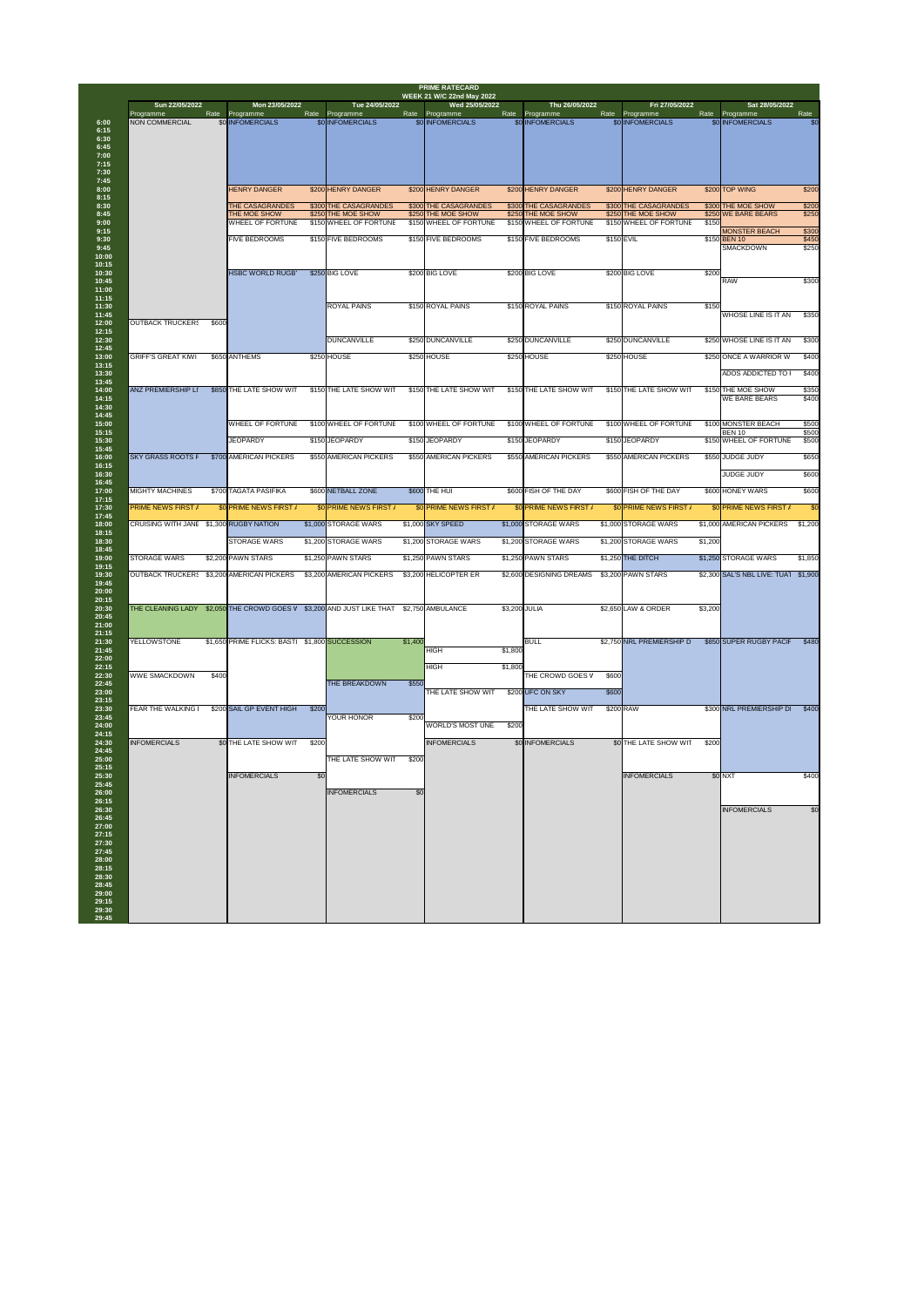| Rate<br>Rate Programme<br>Rate<br>Rate<br>Rate<br>Rate<br>Rate Programme<br>Programme<br>Programme<br>Programme<br>Programme<br>Programme<br>\$0 INFOMERCIALS<br>\$0 INFOMERCIALS<br>\$0 INFOMERCIALS<br><b>NON COMMERCIAL</b><br>\$0 INFOMERCIALS<br>\$0 INFOMERCIALS<br>\$0 INFOMERCIALS<br>\$200 HENRY DANGER<br>\$200 TOP WING<br><b>HENRY DANGER</b><br>\$200 HENRY DANGER<br>\$200 HENRY DANGER<br>\$200 HENRY DANGER<br>\$300 THE CASAGRANDES<br>\$300 THE CASAGRANDES<br>\$300 THE CASAGRANDES<br>\$300 THE CASAGRANDES<br>\$300 THE MOE SHOW<br><b>THE CASAGRANDES</b><br>\$250 THE MOE SHOW<br>THE MOE SHOW<br>\$250 THE MOE SHOW<br>\$250 THE MOE SHOW<br>\$250 THE MOE SHOW<br>\$250 WE BARE BEARS<br>\$150 WHEEL OF FORTUNE<br>\$150<br><b>WHEEL OF FORTUNE</b><br>\$150 WHEEL OF FORTUNE<br>\$150 WHEEL OF FORTUNE<br>\$150 WHEEL OF FORTUNE<br><b>MONSTER BEACH</b><br>\$150 FIVE BEDROOMS<br>FIVE BEDROOMS<br>\$150 FIVE BEDROOMS<br>\$150 FIVE BEDROOMS<br>\$150 EVIL<br>\$150 BEN 10<br><b>SMACKDOWN</b><br>\$200 BIG LOVE<br>\$200 BIG LOVE<br>\$200 BIG LOVE<br>\$200<br><b>HSBC WORLD RUGB'</b><br>\$250 BIG LOVE<br><b>RAW</b><br><b>ROYAL PAINS</b><br>\$150 ROYAL PAINS<br>\$150 ROYAL PAINS<br>\$150 ROYAL PAINS<br>\$150<br><b>WHOSE LINE IS IT AN</b><br><b>OUTBACK TRUCKERS</b><br>\$600<br><b>DUNCANVILLE</b><br>\$250 DUNCANVILLE<br>\$250 DUNCANVILLE<br>\$250 DUNCANVILLE<br>\$250 WHOSE LINE IS IT AN<br>\$250 HOUSE<br>\$250 HOUSE<br>\$250 HOUSE<br>\$250 HOUSE<br>\$250 ONCE A WARRIOR W<br><b>GRIFF'S GREAT KIWI</b><br>\$650 ANTHEMS<br><b>ADOS ADDICTED TO</b><br>\$150 THE LATE SHOW WIT<br><b>\$150 THE LATE SHOW WIT</b><br><b>ANZ PREMIERSHIP LI</b><br>\$850 THE LATE SHOW WIT<br>\$150 THE LATE SHOW WIT<br>\$150 THE LATE SHOW WIT<br>\$150 THE MOE SHOW<br><b>WE BARE BEARS</b><br>\$100 WHEEL OF FORTUNE<br>\$100 MONSTER BEACH<br><b>WHEEL OF FORTUNE</b><br>\$100 WHEEL OF FORTUNE<br>\$100 WHEEL OF FORTUNE<br>\$100 WHEEL OF FORTUNE<br><b>BEN 10</b><br>\$150 JEOPARDY<br>\$150 JEOPARDY<br>\$150 JEOPARDY<br>\$150 JEOPARDY<br><b>JEOPARDY</b><br>\$150 WHEEL OF FORTUNE<br><b>SKY GRASS ROOTS F</b><br>\$700 AMERICAN PICKERS<br>\$550 AMERICAN PICKERS<br>\$550 AMERICAN PICKERS<br>\$550 AMERICAN PICKERS<br>\$550 AMERICAN PICKERS<br>\$550 JUDGE JUDY<br><b>JUDGE JUDY</b><br>\$600 THE HUI<br>\$600 NETBALL ZONE<br>\$600 FISH OF THE DAY<br>\$600 FISH OF THE DAY<br>\$600 HONEY WARS<br><b>MIGHTY MACHINES</b><br>\$700 TAGATA PASIFIKA<br><b>PRIME NEWS FIRST /</b><br>\$0 PRIME NEWS FIRST /<br>\$0 PRIME NEWS FIRST /<br>\$0 PRIME NEWS FIRST /<br>\$0 PRIME NEWS FIRST /<br>\$0 PRIME NEWS FIRST /<br>\$0 PRIME NEWS FIRST /<br>CRUISING WITH JANE \$1,300 RUGBY NATION<br>\$1,000 SKY SPEED<br>\$1,000 STORAGE WARS<br>\$1,000 STORAGE WARS<br>\$1,000 STORAGE WARS<br>\$1,000 AMERICAN PICKERS<br><b>STORAGE WARS</b><br>\$1,200 STORAGE WARS<br>\$1,200 STORAGE WARS<br>\$1,200 STORAGE WARS<br>\$1,200 STORAGE WARS<br>\$1,200<br>\$1,250 PAWN STARS<br>\$1,250 THE DITCH<br>\$1,250 STORAGE WARS<br><b>STORAGE WARS</b><br>\$2,200 PAWN STARS<br>\$1,250 PAWN STARS<br>\$1,250 PAWN STARS<br>\$2,300 SAL'S NBL LIVE: TUA1 \$1,900<br>OUTBACK TRUCKER: \$3,200 AMERICAN PICKERS<br>\$3,200 AMERICAN PICKERS<br>\$3,200 HELICOPTER ER<br>\$2,600 DESIGNING DREAMS<br>\$3,200 PAWN STARS<br>THE CLEANING LADY<br>\$2,050 THE CROWD GOES V<br>\$3,200 AND JUST LIKE THAT<br>\$3,200 JULIA<br>\$2,650 LAW & ORDER<br>\$3,200<br>\$2,750 AMBULANCE<br><b>BULL</b><br>\$2,750 NRL PREMIERSHIP D<br><b>YELLOWSTONE</b><br>\$1,650 PRIME FLICKS: BASTI \$1,800 SUCCESSION<br>\$1,400<br>\$850 SUPER RUGBY PACIF<br><b>HIGH</b><br>\$1,800<br><b>HIGH</b><br>\$1,800<br><b>WWE SMACKDOWN</b><br>\$400<br>THE CROWD GOES V<br>\$600<br><b>THE BREAKDOWN</b><br>\$550<br>THE LATE SHOW WIT<br>\$200 UFC ON SKY<br>\$600<br>FEAR THE WALKING<br>\$200 SAIL GP EVENT HIGH<br>\$200<br>\$200 RAW<br>\$300 NRL PREMIERSHIP D<br>THE LATE SHOW WIT<br>\$200<br>YOUR HONOR<br><b>WORLD'S MOST UNE</b><br>\$200<br>\$0 INFOMERCIALS<br><b>INFOMERCIALS</b><br><b>SOITHE LATE SHOW WIT</b><br>\$200<br><b>INFOMERCIALS</b><br>\$0 THE LATE SHOW WIT<br>\$200<br>THE LATE SHOW WIT<br>\$200<br>\$0 NXT<br><b>INFOMERCIALS</b><br>\$0<br><b>INFOMERCIALS</b><br>\$0<br><b>INFOMERCIALS</b><br><b>INFOMERCIALS</b> | Sun 22/05/2022 | Mon 23/05/2022 | Tue 24/05/2022 | <b>WEEK 21 W/C 22nd May 2022</b><br>Wed 25/05/2022 | Thu 26/05/2022 | Fri 27/05/2022 | Sat 28/05/2022 |                |
|--------------------------------------------------------------------------------------------------------------------------------------------------------------------------------------------------------------------------------------------------------------------------------------------------------------------------------------------------------------------------------------------------------------------------------------------------------------------------------------------------------------------------------------------------------------------------------------------------------------------------------------------------------------------------------------------------------------------------------------------------------------------------------------------------------------------------------------------------------------------------------------------------------------------------------------------------------------------------------------------------------------------------------------------------------------------------------------------------------------------------------------------------------------------------------------------------------------------------------------------------------------------------------------------------------------------------------------------------------------------------------------------------------------------------------------------------------------------------------------------------------------------------------------------------------------------------------------------------------------------------------------------------------------------------------------------------------------------------------------------------------------------------------------------------------------------------------------------------------------------------------------------------------------------------------------------------------------------------------------------------------------------------------------------------------------------------------------------------------------------------------------------------------------------------------------------------------------------------------------------------------------------------------------------------------------------------------------------------------------------------------------------------------------------------------------------------------------------------------------------------------------------------------------------------------------------------------------------------------------------------------------------------------------------------------------------------------------------------------------------------------------------------------------------------------------------------------------------------------------------------------------------------------------------------------------------------------------------------------------------------------------------------------------------------------------------------------------------------------------------------------------------------------------------------------------------------------------------------------------------------------------------------------------------------------------------------------------------------------------------------------------------------------------------------------------------------------------------------------------------------------------------------------------------------------------------------------------------------------------------------------------------------------------------------------------------------------------------------------------------------------------------------------------------------------------------------------------------------------------------------------------------------------------------------------------------------------------------------------------------------------------------------------------------------------------------------------------------------------------------------------------------------------------------------------------------------------------------------------------------------------------------------------------------------------------------------------------------------------------------|----------------|----------------|----------------|----------------------------------------------------|----------------|----------------|----------------|----------------|
|                                                                                                                                                                                                                                                                                                                                                                                                                                                                                                                                                                                                                                                                                                                                                                                                                                                                                                                                                                                                                                                                                                                                                                                                                                                                                                                                                                                                                                                                                                                                                                                                                                                                                                                                                                                                                                                                                                                                                                                                                                                                                                                                                                                                                                                                                                                                                                                                                                                                                                                                                                                                                                                                                                                                                                                                                                                                                                                                                                                                                                                                                                                                                                                                                                                                                                                                                                                                                                                                                                                                                                                                                                                                                                                                                                                                                                                                                                                                                                                                                                                                                                                                                                                                                                                                                                                                                                    |                |                |                |                                                    |                |                |                | \$0            |
|                                                                                                                                                                                                                                                                                                                                                                                                                                                                                                                                                                                                                                                                                                                                                                                                                                                                                                                                                                                                                                                                                                                                                                                                                                                                                                                                                                                                                                                                                                                                                                                                                                                                                                                                                                                                                                                                                                                                                                                                                                                                                                                                                                                                                                                                                                                                                                                                                                                                                                                                                                                                                                                                                                                                                                                                                                                                                                                                                                                                                                                                                                                                                                                                                                                                                                                                                                                                                                                                                                                                                                                                                                                                                                                                                                                                                                                                                                                                                                                                                                                                                                                                                                                                                                                                                                                                                                    |                |                |                |                                                    |                |                |                |                |
|                                                                                                                                                                                                                                                                                                                                                                                                                                                                                                                                                                                                                                                                                                                                                                                                                                                                                                                                                                                                                                                                                                                                                                                                                                                                                                                                                                                                                                                                                                                                                                                                                                                                                                                                                                                                                                                                                                                                                                                                                                                                                                                                                                                                                                                                                                                                                                                                                                                                                                                                                                                                                                                                                                                                                                                                                                                                                                                                                                                                                                                                                                                                                                                                                                                                                                                                                                                                                                                                                                                                                                                                                                                                                                                                                                                                                                                                                                                                                                                                                                                                                                                                                                                                                                                                                                                                                                    |                |                |                |                                                    |                |                |                | \$200          |
|                                                                                                                                                                                                                                                                                                                                                                                                                                                                                                                                                                                                                                                                                                                                                                                                                                                                                                                                                                                                                                                                                                                                                                                                                                                                                                                                                                                                                                                                                                                                                                                                                                                                                                                                                                                                                                                                                                                                                                                                                                                                                                                                                                                                                                                                                                                                                                                                                                                                                                                                                                                                                                                                                                                                                                                                                                                                                                                                                                                                                                                                                                                                                                                                                                                                                                                                                                                                                                                                                                                                                                                                                                                                                                                                                                                                                                                                                                                                                                                                                                                                                                                                                                                                                                                                                                                                                                    |                |                |                |                                                    |                |                |                | \$200<br>\$250 |
|                                                                                                                                                                                                                                                                                                                                                                                                                                                                                                                                                                                                                                                                                                                                                                                                                                                                                                                                                                                                                                                                                                                                                                                                                                                                                                                                                                                                                                                                                                                                                                                                                                                                                                                                                                                                                                                                                                                                                                                                                                                                                                                                                                                                                                                                                                                                                                                                                                                                                                                                                                                                                                                                                                                                                                                                                                                                                                                                                                                                                                                                                                                                                                                                                                                                                                                                                                                                                                                                                                                                                                                                                                                                                                                                                                                                                                                                                                                                                                                                                                                                                                                                                                                                                                                                                                                                                                    |                |                |                |                                                    |                |                |                | \$300          |
|                                                                                                                                                                                                                                                                                                                                                                                                                                                                                                                                                                                                                                                                                                                                                                                                                                                                                                                                                                                                                                                                                                                                                                                                                                                                                                                                                                                                                                                                                                                                                                                                                                                                                                                                                                                                                                                                                                                                                                                                                                                                                                                                                                                                                                                                                                                                                                                                                                                                                                                                                                                                                                                                                                                                                                                                                                                                                                                                                                                                                                                                                                                                                                                                                                                                                                                                                                                                                                                                                                                                                                                                                                                                                                                                                                                                                                                                                                                                                                                                                                                                                                                                                                                                                                                                                                                                                                    |                |                |                |                                                    |                |                |                | \$450<br>\$250 |
|                                                                                                                                                                                                                                                                                                                                                                                                                                                                                                                                                                                                                                                                                                                                                                                                                                                                                                                                                                                                                                                                                                                                                                                                                                                                                                                                                                                                                                                                                                                                                                                                                                                                                                                                                                                                                                                                                                                                                                                                                                                                                                                                                                                                                                                                                                                                                                                                                                                                                                                                                                                                                                                                                                                                                                                                                                                                                                                                                                                                                                                                                                                                                                                                                                                                                                                                                                                                                                                                                                                                                                                                                                                                                                                                                                                                                                                                                                                                                                                                                                                                                                                                                                                                                                                                                                                                                                    |                |                |                |                                                    |                |                |                | \$300          |
|                                                                                                                                                                                                                                                                                                                                                                                                                                                                                                                                                                                                                                                                                                                                                                                                                                                                                                                                                                                                                                                                                                                                                                                                                                                                                                                                                                                                                                                                                                                                                                                                                                                                                                                                                                                                                                                                                                                                                                                                                                                                                                                                                                                                                                                                                                                                                                                                                                                                                                                                                                                                                                                                                                                                                                                                                                                                                                                                                                                                                                                                                                                                                                                                                                                                                                                                                                                                                                                                                                                                                                                                                                                                                                                                                                                                                                                                                                                                                                                                                                                                                                                                                                                                                                                                                                                                                                    |                |                |                |                                                    |                |                |                | \$350          |
|                                                                                                                                                                                                                                                                                                                                                                                                                                                                                                                                                                                                                                                                                                                                                                                                                                                                                                                                                                                                                                                                                                                                                                                                                                                                                                                                                                                                                                                                                                                                                                                                                                                                                                                                                                                                                                                                                                                                                                                                                                                                                                                                                                                                                                                                                                                                                                                                                                                                                                                                                                                                                                                                                                                                                                                                                                                                                                                                                                                                                                                                                                                                                                                                                                                                                                                                                                                                                                                                                                                                                                                                                                                                                                                                                                                                                                                                                                                                                                                                                                                                                                                                                                                                                                                                                                                                                                    |                |                |                |                                                    |                |                |                | \$300          |
|                                                                                                                                                                                                                                                                                                                                                                                                                                                                                                                                                                                                                                                                                                                                                                                                                                                                                                                                                                                                                                                                                                                                                                                                                                                                                                                                                                                                                                                                                                                                                                                                                                                                                                                                                                                                                                                                                                                                                                                                                                                                                                                                                                                                                                                                                                                                                                                                                                                                                                                                                                                                                                                                                                                                                                                                                                                                                                                                                                                                                                                                                                                                                                                                                                                                                                                                                                                                                                                                                                                                                                                                                                                                                                                                                                                                                                                                                                                                                                                                                                                                                                                                                                                                                                                                                                                                                                    |                |                |                |                                                    |                |                |                | \$400          |
|                                                                                                                                                                                                                                                                                                                                                                                                                                                                                                                                                                                                                                                                                                                                                                                                                                                                                                                                                                                                                                                                                                                                                                                                                                                                                                                                                                                                                                                                                                                                                                                                                                                                                                                                                                                                                                                                                                                                                                                                                                                                                                                                                                                                                                                                                                                                                                                                                                                                                                                                                                                                                                                                                                                                                                                                                                                                                                                                                                                                                                                                                                                                                                                                                                                                                                                                                                                                                                                                                                                                                                                                                                                                                                                                                                                                                                                                                                                                                                                                                                                                                                                                                                                                                                                                                                                                                                    |                |                |                |                                                    |                |                |                | \$400          |
|                                                                                                                                                                                                                                                                                                                                                                                                                                                                                                                                                                                                                                                                                                                                                                                                                                                                                                                                                                                                                                                                                                                                                                                                                                                                                                                                                                                                                                                                                                                                                                                                                                                                                                                                                                                                                                                                                                                                                                                                                                                                                                                                                                                                                                                                                                                                                                                                                                                                                                                                                                                                                                                                                                                                                                                                                                                                                                                                                                                                                                                                                                                                                                                                                                                                                                                                                                                                                                                                                                                                                                                                                                                                                                                                                                                                                                                                                                                                                                                                                                                                                                                                                                                                                                                                                                                                                                    |                |                |                |                                                    |                |                |                | \$350<br>\$400 |
|                                                                                                                                                                                                                                                                                                                                                                                                                                                                                                                                                                                                                                                                                                                                                                                                                                                                                                                                                                                                                                                                                                                                                                                                                                                                                                                                                                                                                                                                                                                                                                                                                                                                                                                                                                                                                                                                                                                                                                                                                                                                                                                                                                                                                                                                                                                                                                                                                                                                                                                                                                                                                                                                                                                                                                                                                                                                                                                                                                                                                                                                                                                                                                                                                                                                                                                                                                                                                                                                                                                                                                                                                                                                                                                                                                                                                                                                                                                                                                                                                                                                                                                                                                                                                                                                                                                                                                    |                |                |                |                                                    |                |                |                | \$500          |
|                                                                                                                                                                                                                                                                                                                                                                                                                                                                                                                                                                                                                                                                                                                                                                                                                                                                                                                                                                                                                                                                                                                                                                                                                                                                                                                                                                                                                                                                                                                                                                                                                                                                                                                                                                                                                                                                                                                                                                                                                                                                                                                                                                                                                                                                                                                                                                                                                                                                                                                                                                                                                                                                                                                                                                                                                                                                                                                                                                                                                                                                                                                                                                                                                                                                                                                                                                                                                                                                                                                                                                                                                                                                                                                                                                                                                                                                                                                                                                                                                                                                                                                                                                                                                                                                                                                                                                    |                |                |                |                                                    |                |                |                | \$500<br>\$500 |
|                                                                                                                                                                                                                                                                                                                                                                                                                                                                                                                                                                                                                                                                                                                                                                                                                                                                                                                                                                                                                                                                                                                                                                                                                                                                                                                                                                                                                                                                                                                                                                                                                                                                                                                                                                                                                                                                                                                                                                                                                                                                                                                                                                                                                                                                                                                                                                                                                                                                                                                                                                                                                                                                                                                                                                                                                                                                                                                                                                                                                                                                                                                                                                                                                                                                                                                                                                                                                                                                                                                                                                                                                                                                                                                                                                                                                                                                                                                                                                                                                                                                                                                                                                                                                                                                                                                                                                    |                |                |                |                                                    |                |                |                | \$650          |
|                                                                                                                                                                                                                                                                                                                                                                                                                                                                                                                                                                                                                                                                                                                                                                                                                                                                                                                                                                                                                                                                                                                                                                                                                                                                                                                                                                                                                                                                                                                                                                                                                                                                                                                                                                                                                                                                                                                                                                                                                                                                                                                                                                                                                                                                                                                                                                                                                                                                                                                                                                                                                                                                                                                                                                                                                                                                                                                                                                                                                                                                                                                                                                                                                                                                                                                                                                                                                                                                                                                                                                                                                                                                                                                                                                                                                                                                                                                                                                                                                                                                                                                                                                                                                                                                                                                                                                    |                |                |                |                                                    |                |                |                | \$600          |
|                                                                                                                                                                                                                                                                                                                                                                                                                                                                                                                                                                                                                                                                                                                                                                                                                                                                                                                                                                                                                                                                                                                                                                                                                                                                                                                                                                                                                                                                                                                                                                                                                                                                                                                                                                                                                                                                                                                                                                                                                                                                                                                                                                                                                                                                                                                                                                                                                                                                                                                                                                                                                                                                                                                                                                                                                                                                                                                                                                                                                                                                                                                                                                                                                                                                                                                                                                                                                                                                                                                                                                                                                                                                                                                                                                                                                                                                                                                                                                                                                                                                                                                                                                                                                                                                                                                                                                    |                |                |                |                                                    |                |                |                | \$600          |
|                                                                                                                                                                                                                                                                                                                                                                                                                                                                                                                                                                                                                                                                                                                                                                                                                                                                                                                                                                                                                                                                                                                                                                                                                                                                                                                                                                                                                                                                                                                                                                                                                                                                                                                                                                                                                                                                                                                                                                                                                                                                                                                                                                                                                                                                                                                                                                                                                                                                                                                                                                                                                                                                                                                                                                                                                                                                                                                                                                                                                                                                                                                                                                                                                                                                                                                                                                                                                                                                                                                                                                                                                                                                                                                                                                                                                                                                                                                                                                                                                                                                                                                                                                                                                                                                                                                                                                    |                |                |                |                                                    |                |                |                | \$0            |
|                                                                                                                                                                                                                                                                                                                                                                                                                                                                                                                                                                                                                                                                                                                                                                                                                                                                                                                                                                                                                                                                                                                                                                                                                                                                                                                                                                                                                                                                                                                                                                                                                                                                                                                                                                                                                                                                                                                                                                                                                                                                                                                                                                                                                                                                                                                                                                                                                                                                                                                                                                                                                                                                                                                                                                                                                                                                                                                                                                                                                                                                                                                                                                                                                                                                                                                                                                                                                                                                                                                                                                                                                                                                                                                                                                                                                                                                                                                                                                                                                                                                                                                                                                                                                                                                                                                                                                    |                |                |                |                                                    |                |                |                | \$1,200        |
|                                                                                                                                                                                                                                                                                                                                                                                                                                                                                                                                                                                                                                                                                                                                                                                                                                                                                                                                                                                                                                                                                                                                                                                                                                                                                                                                                                                                                                                                                                                                                                                                                                                                                                                                                                                                                                                                                                                                                                                                                                                                                                                                                                                                                                                                                                                                                                                                                                                                                                                                                                                                                                                                                                                                                                                                                                                                                                                                                                                                                                                                                                                                                                                                                                                                                                                                                                                                                                                                                                                                                                                                                                                                                                                                                                                                                                                                                                                                                                                                                                                                                                                                                                                                                                                                                                                                                                    |                |                |                |                                                    |                |                |                |                |
|                                                                                                                                                                                                                                                                                                                                                                                                                                                                                                                                                                                                                                                                                                                                                                                                                                                                                                                                                                                                                                                                                                                                                                                                                                                                                                                                                                                                                                                                                                                                                                                                                                                                                                                                                                                                                                                                                                                                                                                                                                                                                                                                                                                                                                                                                                                                                                                                                                                                                                                                                                                                                                                                                                                                                                                                                                                                                                                                                                                                                                                                                                                                                                                                                                                                                                                                                                                                                                                                                                                                                                                                                                                                                                                                                                                                                                                                                                                                                                                                                                                                                                                                                                                                                                                                                                                                                                    |                |                |                |                                                    |                |                |                | \$1,850        |
|                                                                                                                                                                                                                                                                                                                                                                                                                                                                                                                                                                                                                                                                                                                                                                                                                                                                                                                                                                                                                                                                                                                                                                                                                                                                                                                                                                                                                                                                                                                                                                                                                                                                                                                                                                                                                                                                                                                                                                                                                                                                                                                                                                                                                                                                                                                                                                                                                                                                                                                                                                                                                                                                                                                                                                                                                                                                                                                                                                                                                                                                                                                                                                                                                                                                                                                                                                                                                                                                                                                                                                                                                                                                                                                                                                                                                                                                                                                                                                                                                                                                                                                                                                                                                                                                                                                                                                    |                |                |                |                                                    |                |                |                |                |
|                                                                                                                                                                                                                                                                                                                                                                                                                                                                                                                                                                                                                                                                                                                                                                                                                                                                                                                                                                                                                                                                                                                                                                                                                                                                                                                                                                                                                                                                                                                                                                                                                                                                                                                                                                                                                                                                                                                                                                                                                                                                                                                                                                                                                                                                                                                                                                                                                                                                                                                                                                                                                                                                                                                                                                                                                                                                                                                                                                                                                                                                                                                                                                                                                                                                                                                                                                                                                                                                                                                                                                                                                                                                                                                                                                                                                                                                                                                                                                                                                                                                                                                                                                                                                                                                                                                                                                    |                |                |                |                                                    |                |                |                |                |
|                                                                                                                                                                                                                                                                                                                                                                                                                                                                                                                                                                                                                                                                                                                                                                                                                                                                                                                                                                                                                                                                                                                                                                                                                                                                                                                                                                                                                                                                                                                                                                                                                                                                                                                                                                                                                                                                                                                                                                                                                                                                                                                                                                                                                                                                                                                                                                                                                                                                                                                                                                                                                                                                                                                                                                                                                                                                                                                                                                                                                                                                                                                                                                                                                                                                                                                                                                                                                                                                                                                                                                                                                                                                                                                                                                                                                                                                                                                                                                                                                                                                                                                                                                                                                                                                                                                                                                    |                |                |                |                                                    |                |                |                | \$480          |
|                                                                                                                                                                                                                                                                                                                                                                                                                                                                                                                                                                                                                                                                                                                                                                                                                                                                                                                                                                                                                                                                                                                                                                                                                                                                                                                                                                                                                                                                                                                                                                                                                                                                                                                                                                                                                                                                                                                                                                                                                                                                                                                                                                                                                                                                                                                                                                                                                                                                                                                                                                                                                                                                                                                                                                                                                                                                                                                                                                                                                                                                                                                                                                                                                                                                                                                                                                                                                                                                                                                                                                                                                                                                                                                                                                                                                                                                                                                                                                                                                                                                                                                                                                                                                                                                                                                                                                    |                |                |                |                                                    |                |                |                |                |
|                                                                                                                                                                                                                                                                                                                                                                                                                                                                                                                                                                                                                                                                                                                                                                                                                                                                                                                                                                                                                                                                                                                                                                                                                                                                                                                                                                                                                                                                                                                                                                                                                                                                                                                                                                                                                                                                                                                                                                                                                                                                                                                                                                                                                                                                                                                                                                                                                                                                                                                                                                                                                                                                                                                                                                                                                                                                                                                                                                                                                                                                                                                                                                                                                                                                                                                                                                                                                                                                                                                                                                                                                                                                                                                                                                                                                                                                                                                                                                                                                                                                                                                                                                                                                                                                                                                                                                    |                |                |                |                                                    |                |                |                |                |
|                                                                                                                                                                                                                                                                                                                                                                                                                                                                                                                                                                                                                                                                                                                                                                                                                                                                                                                                                                                                                                                                                                                                                                                                                                                                                                                                                                                                                                                                                                                                                                                                                                                                                                                                                                                                                                                                                                                                                                                                                                                                                                                                                                                                                                                                                                                                                                                                                                                                                                                                                                                                                                                                                                                                                                                                                                                                                                                                                                                                                                                                                                                                                                                                                                                                                                                                                                                                                                                                                                                                                                                                                                                                                                                                                                                                                                                                                                                                                                                                                                                                                                                                                                                                                                                                                                                                                                    |                |                |                |                                                    |                |                |                |                |
|                                                                                                                                                                                                                                                                                                                                                                                                                                                                                                                                                                                                                                                                                                                                                                                                                                                                                                                                                                                                                                                                                                                                                                                                                                                                                                                                                                                                                                                                                                                                                                                                                                                                                                                                                                                                                                                                                                                                                                                                                                                                                                                                                                                                                                                                                                                                                                                                                                                                                                                                                                                                                                                                                                                                                                                                                                                                                                                                                                                                                                                                                                                                                                                                                                                                                                                                                                                                                                                                                                                                                                                                                                                                                                                                                                                                                                                                                                                                                                                                                                                                                                                                                                                                                                                                                                                                                                    |                |                |                |                                                    |                |                |                | \$400          |
|                                                                                                                                                                                                                                                                                                                                                                                                                                                                                                                                                                                                                                                                                                                                                                                                                                                                                                                                                                                                                                                                                                                                                                                                                                                                                                                                                                                                                                                                                                                                                                                                                                                                                                                                                                                                                                                                                                                                                                                                                                                                                                                                                                                                                                                                                                                                                                                                                                                                                                                                                                                                                                                                                                                                                                                                                                                                                                                                                                                                                                                                                                                                                                                                                                                                                                                                                                                                                                                                                                                                                                                                                                                                                                                                                                                                                                                                                                                                                                                                                                                                                                                                                                                                                                                                                                                                                                    |                |                |                |                                                    |                |                |                |                |
|                                                                                                                                                                                                                                                                                                                                                                                                                                                                                                                                                                                                                                                                                                                                                                                                                                                                                                                                                                                                                                                                                                                                                                                                                                                                                                                                                                                                                                                                                                                                                                                                                                                                                                                                                                                                                                                                                                                                                                                                                                                                                                                                                                                                                                                                                                                                                                                                                                                                                                                                                                                                                                                                                                                                                                                                                                                                                                                                                                                                                                                                                                                                                                                                                                                                                                                                                                                                                                                                                                                                                                                                                                                                                                                                                                                                                                                                                                                                                                                                                                                                                                                                                                                                                                                                                                                                                                    |                |                |                |                                                    |                |                |                |                |
|                                                                                                                                                                                                                                                                                                                                                                                                                                                                                                                                                                                                                                                                                                                                                                                                                                                                                                                                                                                                                                                                                                                                                                                                                                                                                                                                                                                                                                                                                                                                                                                                                                                                                                                                                                                                                                                                                                                                                                                                                                                                                                                                                                                                                                                                                                                                                                                                                                                                                                                                                                                                                                                                                                                                                                                                                                                                                                                                                                                                                                                                                                                                                                                                                                                                                                                                                                                                                                                                                                                                                                                                                                                                                                                                                                                                                                                                                                                                                                                                                                                                                                                                                                                                                                                                                                                                                                    |                |                |                |                                                    |                |                |                | \$400          |
|                                                                                                                                                                                                                                                                                                                                                                                                                                                                                                                                                                                                                                                                                                                                                                                                                                                                                                                                                                                                                                                                                                                                                                                                                                                                                                                                                                                                                                                                                                                                                                                                                                                                                                                                                                                                                                                                                                                                                                                                                                                                                                                                                                                                                                                                                                                                                                                                                                                                                                                                                                                                                                                                                                                                                                                                                                                                                                                                                                                                                                                                                                                                                                                                                                                                                                                                                                                                                                                                                                                                                                                                                                                                                                                                                                                                                                                                                                                                                                                                                                                                                                                                                                                                                                                                                                                                                                    |                |                |                |                                                    |                |                |                |                |
|                                                                                                                                                                                                                                                                                                                                                                                                                                                                                                                                                                                                                                                                                                                                                                                                                                                                                                                                                                                                                                                                                                                                                                                                                                                                                                                                                                                                                                                                                                                                                                                                                                                                                                                                                                                                                                                                                                                                                                                                                                                                                                                                                                                                                                                                                                                                                                                                                                                                                                                                                                                                                                                                                                                                                                                                                                                                                                                                                                                                                                                                                                                                                                                                                                                                                                                                                                                                                                                                                                                                                                                                                                                                                                                                                                                                                                                                                                                                                                                                                                                                                                                                                                                                                                                                                                                                                                    |                |                |                |                                                    |                |                |                | \$0            |
|                                                                                                                                                                                                                                                                                                                                                                                                                                                                                                                                                                                                                                                                                                                                                                                                                                                                                                                                                                                                                                                                                                                                                                                                                                                                                                                                                                                                                                                                                                                                                                                                                                                                                                                                                                                                                                                                                                                                                                                                                                                                                                                                                                                                                                                                                                                                                                                                                                                                                                                                                                                                                                                                                                                                                                                                                                                                                                                                                                                                                                                                                                                                                                                                                                                                                                                                                                                                                                                                                                                                                                                                                                                                                                                                                                                                                                                                                                                                                                                                                                                                                                                                                                                                                                                                                                                                                                    |                |                |                |                                                    |                |                |                |                |
|                                                                                                                                                                                                                                                                                                                                                                                                                                                                                                                                                                                                                                                                                                                                                                                                                                                                                                                                                                                                                                                                                                                                                                                                                                                                                                                                                                                                                                                                                                                                                                                                                                                                                                                                                                                                                                                                                                                                                                                                                                                                                                                                                                                                                                                                                                                                                                                                                                                                                                                                                                                                                                                                                                                                                                                                                                                                                                                                                                                                                                                                                                                                                                                                                                                                                                                                                                                                                                                                                                                                                                                                                                                                                                                                                                                                                                                                                                                                                                                                                                                                                                                                                                                                                                                                                                                                                                    |                |                |                |                                                    |                |                |                |                |
|                                                                                                                                                                                                                                                                                                                                                                                                                                                                                                                                                                                                                                                                                                                                                                                                                                                                                                                                                                                                                                                                                                                                                                                                                                                                                                                                                                                                                                                                                                                                                                                                                                                                                                                                                                                                                                                                                                                                                                                                                                                                                                                                                                                                                                                                                                                                                                                                                                                                                                                                                                                                                                                                                                                                                                                                                                                                                                                                                                                                                                                                                                                                                                                                                                                                                                                                                                                                                                                                                                                                                                                                                                                                                                                                                                                                                                                                                                                                                                                                                                                                                                                                                                                                                                                                                                                                                                    |                |                |                |                                                    |                |                |                |                |
|                                                                                                                                                                                                                                                                                                                                                                                                                                                                                                                                                                                                                                                                                                                                                                                                                                                                                                                                                                                                                                                                                                                                                                                                                                                                                                                                                                                                                                                                                                                                                                                                                                                                                                                                                                                                                                                                                                                                                                                                                                                                                                                                                                                                                                                                                                                                                                                                                                                                                                                                                                                                                                                                                                                                                                                                                                                                                                                                                                                                                                                                                                                                                                                                                                                                                                                                                                                                                                                                                                                                                                                                                                                                                                                                                                                                                                                                                                                                                                                                                                                                                                                                                                                                                                                                                                                                                                    |                |                |                |                                                    |                |                |                |                |
|                                                                                                                                                                                                                                                                                                                                                                                                                                                                                                                                                                                                                                                                                                                                                                                                                                                                                                                                                                                                                                                                                                                                                                                                                                                                                                                                                                                                                                                                                                                                                                                                                                                                                                                                                                                                                                                                                                                                                                                                                                                                                                                                                                                                                                                                                                                                                                                                                                                                                                                                                                                                                                                                                                                                                                                                                                                                                                                                                                                                                                                                                                                                                                                                                                                                                                                                                                                                                                                                                                                                                                                                                                                                                                                                                                                                                                                                                                                                                                                                                                                                                                                                                                                                                                                                                                                                                                    |                |                |                |                                                    |                |                |                |                |
|                                                                                                                                                                                                                                                                                                                                                                                                                                                                                                                                                                                                                                                                                                                                                                                                                                                                                                                                                                                                                                                                                                                                                                                                                                                                                                                                                                                                                                                                                                                                                                                                                                                                                                                                                                                                                                                                                                                                                                                                                                                                                                                                                                                                                                                                                                                                                                                                                                                                                                                                                                                                                                                                                                                                                                                                                                                                                                                                                                                                                                                                                                                                                                                                                                                                                                                                                                                                                                                                                                                                                                                                                                                                                                                                                                                                                                                                                                                                                                                                                                                                                                                                                                                                                                                                                                                                                                    |                |                |                |                                                    |                |                |                |                |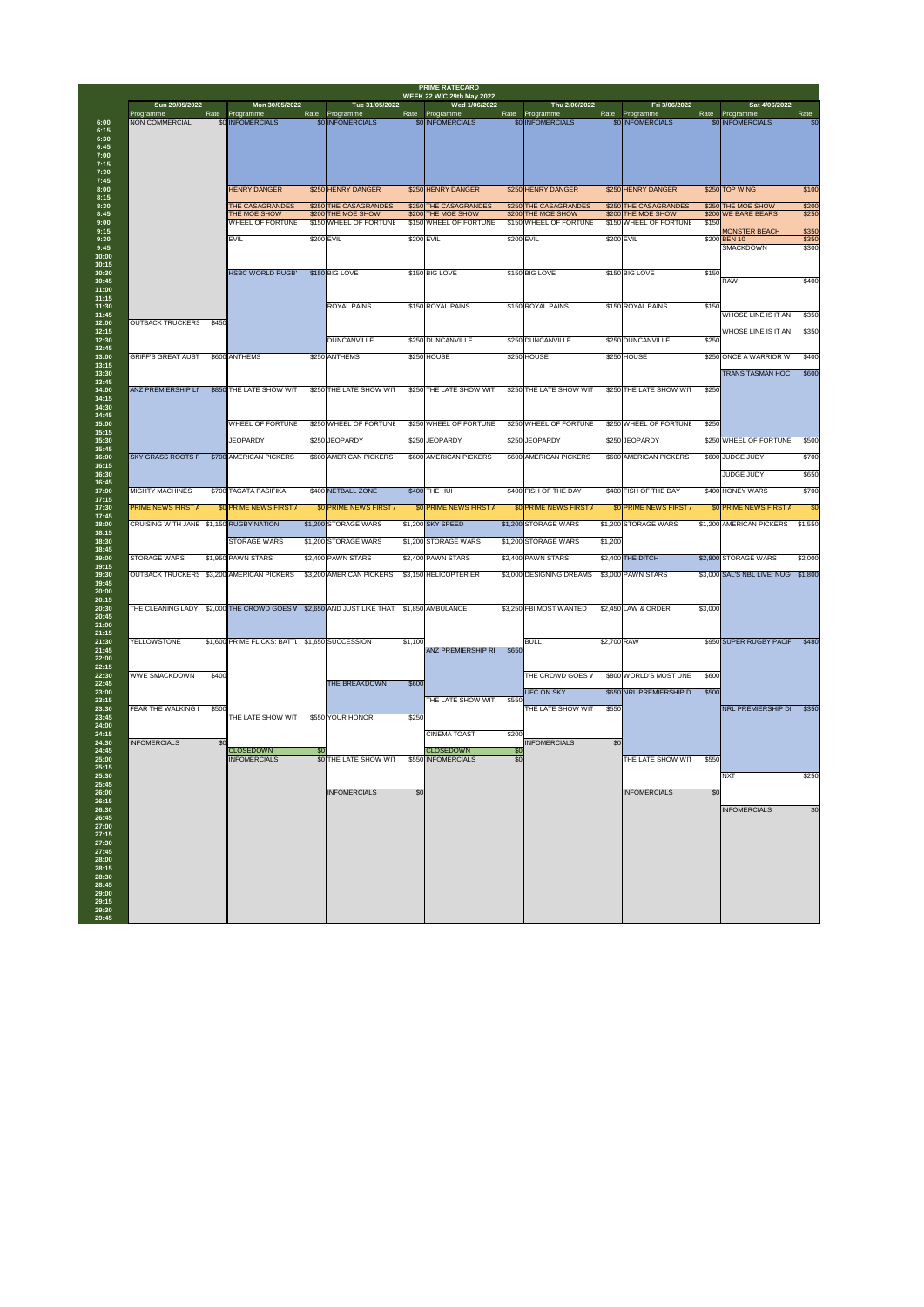| Sun 29/05/2022                          |       | Mon 30/05/2022                                                  |      | Tue 31/05/2022                                                                          |         | <b>PRIME RATECARD</b><br><b>WEEK 22 W/C 29th May 2022</b><br>Wed 1/06/2022 |                | Thu 2/06/2022                                  |             | Fri 3/06/2022                               |         | Sat 4/06/2022                                                          |
|-----------------------------------------|-------|-----------------------------------------------------------------|------|-----------------------------------------------------------------------------------------|---------|----------------------------------------------------------------------------|----------------|------------------------------------------------|-------------|---------------------------------------------|---------|------------------------------------------------------------------------|
| Programme<br>NON COMMERCIAL             |       | Rate Programme<br>\$0 INFOMERCIALS                              | Rate | Programme<br>\$0 INFOMERCIALS                                                           |         | Rate Programme<br>\$0 INFOMERCIALS                                         | Rate           | Programme<br>\$0 INFOMERCIALS                  |             | Rate Programme<br>\$0 INFOMERCIALS          |         | Rate<br>Rate Programme<br><b>\$0 INFOMERCIALS</b><br>\$0               |
|                                         |       | <b>HENRY DANGER</b>                                             |      | \$250 HENRY DANGER                                                                      |         | \$250 HENRY DANGER                                                         |                | \$250 HENRY DANGER                             |             | \$250 HENRY DANGER                          |         | \$250 TOP WING<br>\$100                                                |
|                                         |       | <b>THE CASAGRANDES</b><br>THE MOE SHOW                          |      | \$250 THE CASAGRANDES<br>\$200 THE MOE SHOW                                             |         | \$250 THE CASAGRANDES<br>\$200 THE MOE SHOW                                |                | \$250 THE CASAGRANDES<br>\$200 THE MOE SHOW    |             | \$250 THE CASAGRANDES<br>\$200 THE MOE SHOW |         | \$200<br>\$250 THE MOE SHOW<br>\$250<br>\$200 WE BARE BEARS            |
|                                         |       | <b>WHEEL OF FORTUNE</b><br><b>EVIL</b>                          |      | \$150 WHEEL OF FORTUNE<br>\$200 EVIL                                                    |         | \$150 WHEEL OF FORTUNE<br>\$200 EVIL                                       |                | \$150 WHEEL OF FORTUNE<br>\$200 EVIL           |             | \$150 WHEEL OF FORTUNE<br>\$200 EVIL        | \$150   | <b>MONSTER BEACH</b><br>\$350<br>\$350<br>\$200 BEN 10                 |
|                                         |       |                                                                 |      |                                                                                         |         |                                                                            |                |                                                |             |                                             |         | \$300<br><b>SMACKDOWN</b>                                              |
|                                         |       | <b>HSBC WORLD RUGB'</b>                                         |      | \$150 BIG LOVE                                                                          |         | \$150 BIG LOVE                                                             |                | \$150 BIG LOVE                                 |             | \$150 BIG LOVE                              | \$150   | \$400<br><b>RAW</b>                                                    |
| <b>OUTBACK TRUCKERS</b>                 | \$450 |                                                                 |      | <b>ROYAL PAINS</b>                                                                      |         | \$150 ROYAL PAINS                                                          |                | \$150 ROYAL PAINS                              |             | \$150 ROYAL PAINS                           | \$150   | <b>WHOSE LINE IS IT AN</b><br>\$350                                    |
|                                         |       |                                                                 |      | <b>DUNCANVILLE</b>                                                                      |         | \$250 DUNCANVILLE                                                          |                | \$250 DUNCANVILLE                              |             | \$250 DUNCANVILLE                           | \$250   | <b>WHOSE LINE IS IT AN</b><br>\$350                                    |
| <b>GRIFF'S GREAT AUST</b>               |       | \$600 ANTHEMS                                                   |      | \$250 ANTHEMS                                                                           |         | \$250 HOUSE                                                                |                | \$250 HOUSE                                    |             | \$250 HOUSE                                 |         | \$250 ONCE A WARRIOR W<br>\$400                                        |
| <b>ANZ PREMIERSHIP LI</b>               |       | \$850 THE LATE SHOW WIT                                         |      | \$250 THE LATE SHOW WIT                                                                 |         | \$250 THE LATE SHOW WIT                                                    |                | \$250 THE LATE SHOW WIT                        |             | \$250 THE LATE SHOW WIT                     | \$250   | <b>TRANS TASMAN HOC</b><br>\$600                                       |
|                                         |       | <b>WHEEL OF FORTUNE</b>                                         |      | \$250 WHEEL OF FORTUNE                                                                  |         | \$250 WHEEL OF FORTUNE                                                     |                | \$250 WHEEL OF FORTUNE                         |             | \$250 WHEEL OF FORTUNE                      | \$250   |                                                                        |
|                                         |       | <b>JEOPARDY</b>                                                 |      | \$250 JEOPARDY                                                                          |         | \$250 JEOPARDY                                                             |                | \$250 JEOPARDY                                 |             | \$250 JEOPARDY                              |         | \$250 WHEEL OF FORTUNE<br>\$500                                        |
| <b>SKY GRASS ROOTS F</b>                |       | \$700 AMERICAN PICKERS                                          |      | \$600 AMERICAN PICKERS                                                                  |         | \$600 AMERICAN PICKERS                                                     |                | \$600 AMERICAN PICKERS                         |             | \$600 AMERICAN PICKERS                      |         | \$600 JUDGE JUDY<br>\$700                                              |
| <b>MIGHTY MACHINES</b>                  |       | \$700 TAGATA PASIFIKA                                           |      | \$400 NETBALL ZONE                                                                      |         | \$400 THE HUI                                                              |                | \$400 FISH OF THE DAY                          |             | \$400 FISH OF THE DAY                       |         | \$650<br><b>JUDGE JUDY</b><br>\$400 HONEY WARS<br>\$700                |
| <b>PRIME NEWS FIRST /</b>               |       | \$0 PRIME NEWS FIRST /                                          |      | \$0 PRIME NEWS FIRST /                                                                  |         | \$0 PRIME NEWS FIRST /                                                     |                | \$0 PRIME NEWS FIRST /                         |             | \$0 PRIME NEWS FIRST /                      |         | \$0 PRIME NEWS FIRST /<br>\$0                                          |
| CRUISING WITH JANE \$1,150 RUGBY NATION |       |                                                                 |      | \$1,200 STORAGE WARS                                                                    |         | \$1,200 SKY SPEED                                                          |                | \$1,200 STORAGE WARS                           |             | \$1,200 STORAGE WARS                        |         | \$1,200 AMERICAN PICKERS<br>\$1,550                                    |
|                                         |       | <b>STORAGE WARS</b>                                             |      | \$1,200 STORAGE WARS                                                                    |         | \$1,200 STORAGE WARS                                                       |                | \$1,200 STORAGE WARS                           | \$1,200     |                                             |         |                                                                        |
| STORAGE WARS                            |       | \$1,950 PAWN STARS<br>OUTBACK TRUCKER: \$3,200 AMERICAN PICKERS |      | \$2,400 PAWN STARS<br>\$3,200 AMERICAN PICKERS                                          |         | \$2,400 PAWN STARS<br>\$3,150 HELICOPTER ER                                |                | \$2,400 PAWN STARS<br>\$3,000 DESIGNING DREAMS |             | \$2,400 THE DITCH<br>\$3,000 PAWN STARS     |         | \$2,800 STORAGE WARS<br>\$2,000<br>\$3,000 SAL'S NBL LIVE: NUG \$1,800 |
|                                         |       |                                                                 |      |                                                                                         |         |                                                                            |                |                                                |             |                                             |         |                                                                        |
|                                         |       |                                                                 |      | THE CLEANING LADY \$2,000 THE CROWD GOES V \$2,650 AND JUST LIKE THAT \$1,850 AMBULANCE |         |                                                                            |                | \$3,250 FBI MOST WANTED                        |             | \$2,450 LAW & ORDER                         | \$3,000 |                                                                        |
| YELLOWSTONE                             |       | \$1,600 PRIME FLICKS: BATTI \$1,650 SUCCESSION                  |      |                                                                                         | \$1,100 | <b>ANZ PREMIERSHIP R</b>                                                   | \$650          | <b>BULL</b>                                    | \$2,700 RAW |                                             |         | \$950 SUPER RUGBY PACIF<br>\$480                                       |
| <b>WWE SMACKDOWN</b>                    | \$400 |                                                                 |      | <b>THE BREAKDOWN</b>                                                                    | \$600   |                                                                            |                | THE CROWD GOES V                               |             | \$800 WORLD'S MOST UNE                      | \$600   |                                                                        |
|                                         |       |                                                                 |      |                                                                                         |         | THE LATE SHOW WIT                                                          | \$550          | UFC ON SKY                                     |             | \$650 NRL PREMIERSHIP D                     | \$500   |                                                                        |
| <b>FEAR THE WALKING</b>                 | \$500 | THE LATE SHOW WIT                                               |      | \$550 YOUR HONOR                                                                        | \$250   |                                                                            |                | THE LATE SHOW WIT                              | \$550       |                                             |         | NRL PREMIERSHIP D<br>\$350                                             |
|                                         | \$0   | <b>CLOSEDOWN</b>                                                | \$0  |                                                                                         |         | <b>CINEMA TOAST</b><br><b>CLOSEDOWN</b>                                    | \$200<br>്ട് വ | <b>INFOMERCIALS</b>                            | \$0         |                                             |         |                                                                        |
| <b>INFOMERCIALS</b>                     |       |                                                                 |      |                                                                                         |         | \$550 INFOMERCIALS                                                         | \$0            |                                                |             | THE LATE SHOW WIT                           | \$550   |                                                                        |
|                                         |       | <b>INFOMERCIALS</b>                                             |      | \$0 THE LATE SHOW WIT                                                                   |         |                                                                            |                |                                                |             |                                             |         |                                                                        |
|                                         |       |                                                                 |      | <b>INFOMERCIALS</b>                                                                     | \$0     |                                                                            |                |                                                |             | <b>INFOMERCIALS</b>                         | \$0     | \$250<br><b>NXT</b>                                                    |
|                                         |       |                                                                 |      |                                                                                         |         |                                                                            |                |                                                |             |                                             |         | \$0<br><b>INFOMERCIALS</b>                                             |
|                                         |       |                                                                 |      |                                                                                         |         |                                                                            |                |                                                |             |                                             |         |                                                                        |
|                                         |       |                                                                 |      |                                                                                         |         |                                                                            |                |                                                |             |                                             |         |                                                                        |
|                                         |       |                                                                 |      |                                                                                         |         |                                                                            |                |                                                |             |                                             |         |                                                                        |
|                                         |       |                                                                 |      |                                                                                         |         |                                                                            |                |                                                |             |                                             |         |                                                                        |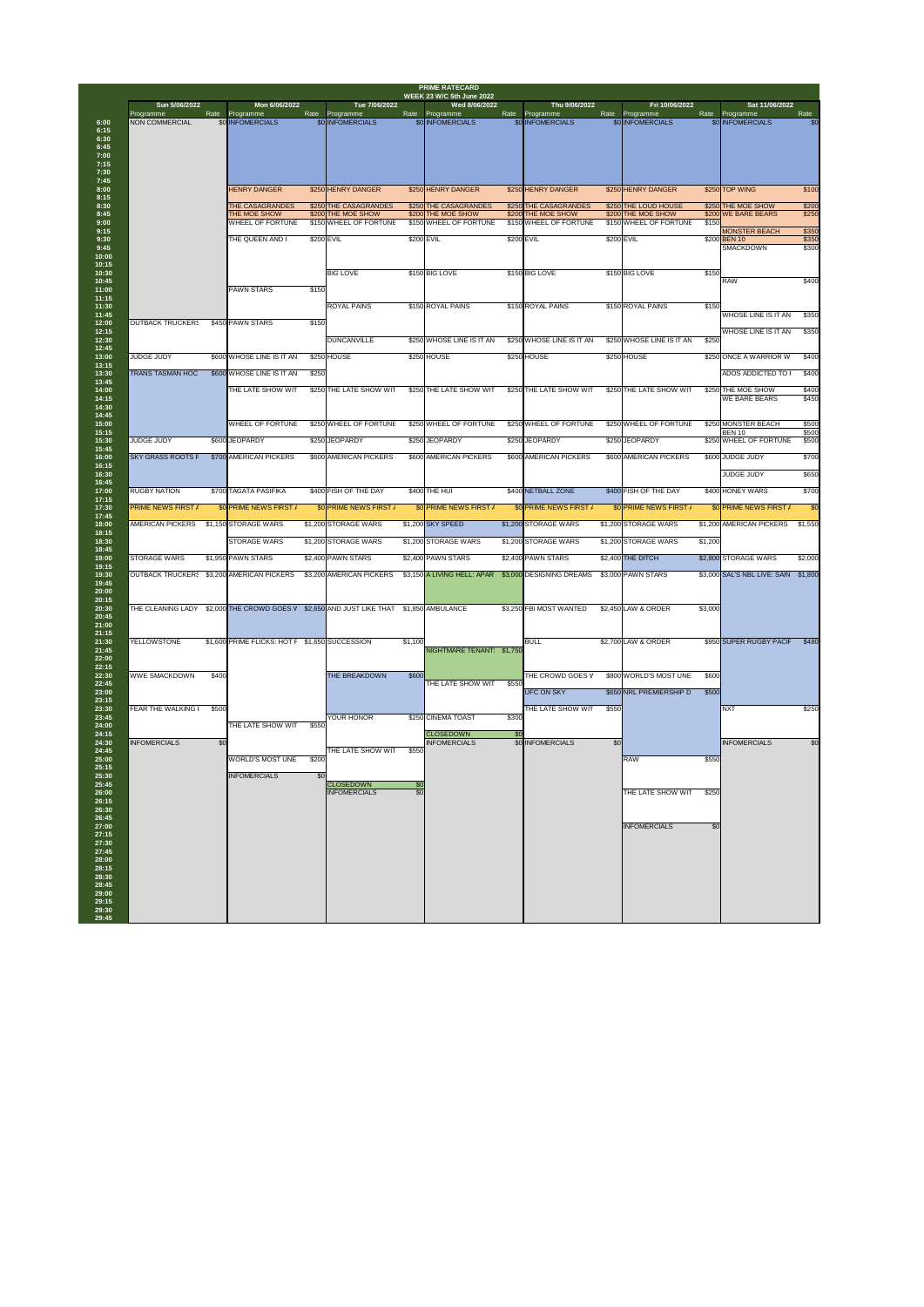| Sun 5/06/2022                             |       | Mon 6/06/2022                                  | Rate  | Tue 7/06/2022                           |                        | Wed 8/06/2022                           |            | Thu 9/06/2022                      | Rate  | Fri 10/06/2022                | Rate    | Sat 11/06/2022                             | Rate           |
|-------------------------------------------|-------|------------------------------------------------|-------|-----------------------------------------|------------------------|-----------------------------------------|------------|------------------------------------|-------|-------------------------------|---------|--------------------------------------------|----------------|
| Programme<br><b>NON COMMERCIAL</b>        |       | Rate Programme<br>\$0 INFOMERCIALS             |       | Programme<br>\$0 INFOMERCIALS           |                        | Rate Programme<br>\$0 INFOMERCIALS      |            | Rate Programme<br>\$0 INFOMERCIALS |       | Programme<br>\$0 INFOMERCIALS |         | Programme<br>\$0 INFOMERCIALS              | \$0            |
|                                           |       |                                                |       |                                         |                        |                                         |            |                                    |       |                               |         |                                            |                |
|                                           |       | <b>HENRY DANGER</b>                            |       | \$250 HENRY DANGER                      |                        | \$250 HENRY DANGER                      |            | \$250 HENRY DANGER                 |       | \$250 HENRY DANGER            |         | \$250 TOP WING                             | \$100          |
|                                           |       | <b>THE CASAGRANDES</b>                         |       | \$250 THE CASAGRANDES                   |                        | \$250 THE CASAGRANDES                   |            | \$250 THE CASAGRANDES              |       | \$250 THE LOUD HOUSE          |         | \$250 THE MOE SHOW                         | \$200          |
|                                           |       | THE MOE SHOW                                   |       | \$200 THE MOE SHOW                      |                        | \$200 THE MOE SHOW                      |            | \$200 THE MOE SHOW                 |       | \$200 THE MOE SHOW            |         | \$200 WE BARE BEARS                        | \$250          |
|                                           |       | <b>WHEEL OF FORTUNE</b>                        |       | \$150 WHEEL OF FORTUNE                  |                        | \$150 WHEEL OF FORTUNE                  |            | \$150 WHEEL OF FORTUNE             |       | \$150 WHEEL OF FORTUNE        | \$150   | <b>MONSTER BEACH</b>                       | \$350          |
|                                           |       | THE QUEEN AND I                                |       | \$200 EVIL                              |                        | \$200 EVIL                              | \$200 EVIL |                                    |       | \$200 EVIL                    |         | \$200 BEN 10<br><b>SMACKDOWN</b>           | \$350<br>\$300 |
|                                           |       | <b>PAWN STARS</b>                              | \$150 | <b>BIG LOVE</b>                         |                        | \$150 BIG LOVE                          |            | \$150 BIG LOVE                     |       | \$150 BIG LOVE                | \$150   | <b>RAW</b>                                 | \$400          |
|                                           |       |                                                |       | <b>ROYAL PAINS</b>                      |                        | \$150 ROYAL PAINS                       |            | \$150 ROYAL PAINS                  |       | \$150 ROYAL PAINS             | \$150   | <b>WHOSE LINE IS IT AN</b>                 | \$350          |
| <b>OUTBACK TRUCKERS</b>                   |       | \$450 PAWN STARS                               | \$150 |                                         |                        |                                         |            |                                    |       |                               |         | <b>WHOSE LINE IS IT AN</b>                 | \$350          |
|                                           |       |                                                |       | <b>DUNCANVILLE</b>                      |                        | \$250 WHOSE LINE IS IT AN               |            | \$250 WHOSE LINE IS IT AN          |       | \$250 WHOSE LINE IS IT AN     | \$250   |                                            |                |
| <b>JUDGE JUDY</b>                         |       | \$600 WHOSE LINE IS IT AN                      |       | \$250 HOUSE                             |                        | \$250 HOUSE                             |            | \$250 HOUSE                        |       | \$250 HOUSE                   |         | \$250 ONCE A WARRIOR W                     | \$400          |
| <b>TRANS TASMAN HOC</b>                   |       | \$600 WHOSE LINE IS IT AN                      | \$250 |                                         |                        |                                         |            |                                    |       |                               |         | ADOS ADDICTED TO                           | \$400          |
|                                           |       | THE LATE SHOW WIT                              |       | \$250 THE LATE SHOW WIT                 |                        | \$250 THE LATE SHOW WIT                 |            | \$250 THE LATE SHOW WIT            |       | \$250 THE LATE SHOW WIT       |         | \$250 THE MOE SHOW<br><b>WE BARE BEARS</b> | \$400<br>\$450 |
|                                           |       | <b>WHEEL OF FORTUNE</b>                        |       | \$250 WHEEL OF FORTUNE                  |                        | \$250 WHEEL OF FORTUNE                  |            | \$250 WHEEL OF FORTUNE             |       | \$250 WHEEL OF FORTUNE        |         | \$250 MONSTER BEACH<br><b>BEN 10</b>       | \$500<br>\$500 |
| <b>JUDGE JUDY</b>                         |       | \$600 JEOPARDY                                 |       | \$250 JEOPARDY                          |                        | \$250 JEOPARDY                          |            | \$250 JEOPARDY                     |       | \$250 JEOPARDY                |         | \$250 WHEEL OF FORTUNE                     | \$500          |
| <b>SKY GRASS ROOTS F</b>                  |       | \$700 AMERICAN PICKERS                         |       | \$600 AMERICAN PICKERS                  |                        | \$600 AMERICAN PICKERS                  |            | \$600 AMERICAN PICKERS             |       | \$600 AMERICAN PICKERS        |         | \$600 JUDGE JUDY                           | \$700          |
|                                           |       |                                                |       |                                         |                        |                                         |            |                                    |       |                               |         | <b>JUDGE JUDY</b>                          | \$650          |
| <b>RUGBY NATION</b>                       |       | \$700 TAGATA PASIFIKA                          |       | \$400 FISH OF THE DAY                   |                        | \$400 THE HUI                           |            | \$400 NETBALL ZONE                 |       | \$400 FISH OF THE DAY         |         | \$400 HONEY WARS                           | \$700          |
| <b>PRIME NEWS FIRST /</b>                 |       | \$0 PRIME NEWS FIRST /                         |       | \$0 PRIME NEWS FIRST /                  |                        | \$0 PRIME NEWS FIRST /                  |            | \$0 PRIME NEWS FIRST /             |       | \$0 PRIME NEWS FIRST /        |         | <b>\$0 PRIME NEWS FIRST /</b>              |                |
| <b>AMERICAN PICKERS</b>                   |       | \$1,150 STORAGE WARS                           |       | \$1,200 STORAGE WARS                    |                        | \$1,200 SKY SPEED                       |            | \$1,200 STORAGE WARS               |       | \$1,200 STORAGE WARS          |         | \$1,200 AMERICAN PICKERS                   | \$1,550        |
|                                           |       | <b>STORAGE WARS</b>                            |       | \$1,200 STORAGE WARS                    |                        | \$1,200 STORAGE WARS                    |            | \$1,200 STORAGE WARS               |       | \$1,200 STORAGE WARS          | \$1,200 |                                            |                |
| <b>STORAGE WARS</b>                       |       | \$1,950 PAWN STARS                             |       | \$2,400 PAWN STARS                      |                        | \$2,400 PAWN STARS                      |            | \$2,400 PAWN STARS                 |       | \$2,400 THE DITCH             |         | \$2,800 STORAGE WARS                       | \$2,000        |
| OUTBACK TRUCKER: \$3,200 AMERICAN PICKERS |       |                                                |       | \$3,200 AMERICAN PICKERS                |                        | \$3,150 A LIVING HELL: APAR             |            | \$3,000 DESIGNING DREAMS           |       | \$3,000 PAWN STARS            |         | \$3,000 SAL'S NBL LIVE: SAIN \$1,800       |                |
|                                           |       |                                                |       |                                         |                        |                                         |            |                                    |       |                               |         |                                            |                |
| THE CLEANING LADY                         |       | \$2,000 THE CROWD GOES V                       |       | \$2,650 AND JUST LIKE THAT              |                        | \$1,850 AMBULANCE                       |            | \$3,250 FBI MOST WANTED            |       | \$2,450 LAW & ORDER           | \$3,000 |                                            |                |
|                                           |       |                                                |       |                                         |                        |                                         |            |                                    |       |                               |         |                                            |                |
| <b>YELLOWSTONE</b>                        |       | \$1,600 PRIME FLICKS: HOT F \$1,650 SUCCESSION |       |                                         | \$1,100                | NIGHTMARE TENANT \$1,750                |            | <b>BULL</b>                        |       | \$2,700 LAW & ORDER           |         | \$950 SUPER RUGBY PACIF                    | \$480          |
| <b>WWE SMACKDOWN</b>                      | \$400 |                                                |       | <b>THE BREAKDOWN</b>                    | \$600                  | THE LATE SHOW WIT                       | \$550      | THE CROWD GOES V                   |       | \$800 WORLD'S MOST UNE        | \$600   |                                            |                |
|                                           |       |                                                |       |                                         |                        |                                         |            | <b>UFC ON SKY</b>                  |       | \$650 NRL PREMIERSHIP D       | \$500   |                                            |                |
| <b>FEAR THE WALKING</b>                   | \$500 | THE LATE SHOW WIT                              | \$550 | YOUR HONOR                              |                        | \$250 CINEMA TOAST                      | \$300      | THE LATE SHOW WIT                  | \$550 |                               |         | <b>INXT</b>                                | \$250          |
| <b>INFOMERCIALS</b>                       | \$0   |                                                |       |                                         |                        | <b>CLOSEDOWN</b><br><b>INFOMERCIALS</b> | \$0        | \$0 INFOMERCIALS                   | \$0   |                               |         | <b>INFOMERCIALS</b>                        | \$0            |
|                                           |       | <b>WORLD'S MOST UNE</b>                        | \$200 | THE LATE SHOW WIT                       | \$550                  |                                         |            |                                    |       | <b>RAW</b>                    | \$550   |                                            |                |
|                                           |       | <b>INFOMERCIALS</b>                            | \$0   |                                         |                        |                                         |            |                                    |       |                               |         |                                            |                |
|                                           |       |                                                |       | <b>CLOSEDOWN</b><br><b>INFOMERCIALS</b> | \$0<br>$\overline{50}$ |                                         |            |                                    |       | <b>THE LATE SHOW WIT</b>      | \$250   |                                            |                |
|                                           |       |                                                |       |                                         |                        |                                         |            |                                    |       | <b>INFOMERCIALS</b>           | \$0     |                                            |                |
|                                           |       |                                                |       |                                         |                        |                                         |            |                                    |       |                               |         |                                            |                |
|                                           |       |                                                |       |                                         |                        |                                         |            |                                    |       |                               |         |                                            |                |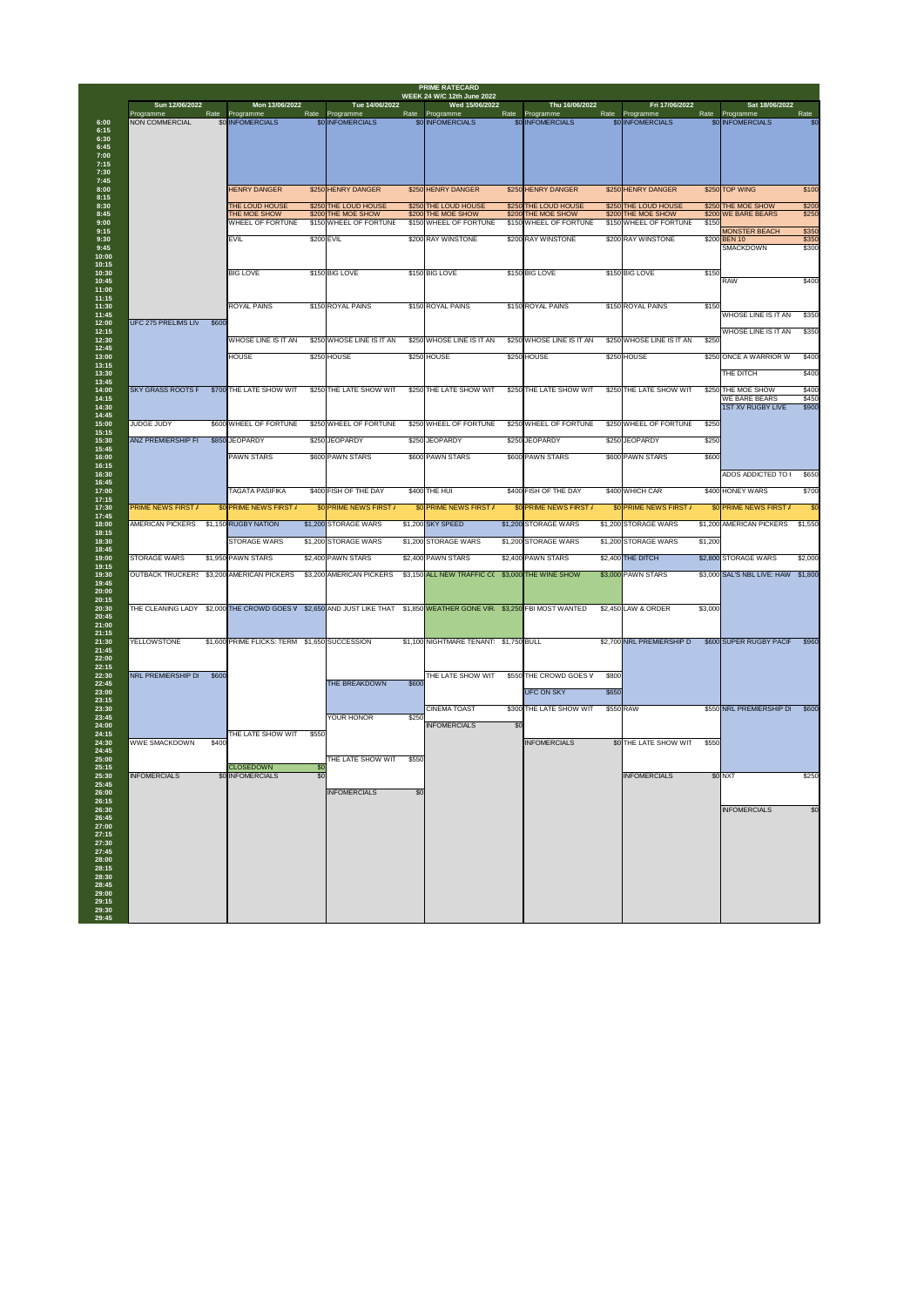| Sun 12/06/2022                            |       | Mon 13/06/2022                                      |                                | Tue 14/06/2022                               |       | <b>WEEK 24 W/C 12th June 2022</b><br>Wed 15/06/2022 |              | Thu 16/06/2022                               |       | Fri 17/06/2022                               |         | Sat 18/06/2022                            |                |
|-------------------------------------------|-------|-----------------------------------------------------|--------------------------------|----------------------------------------------|-------|-----------------------------------------------------|--------------|----------------------------------------------|-------|----------------------------------------------|---------|-------------------------------------------|----------------|
| Programme<br><b>NON COMMERCIAL</b>        | Rate  | Programme<br>\$0 INFOMERCIALS                       | Rate                           | Programme<br>\$0 INFOMERCIALS                | Rate  | Programme<br>\$0 INFOMERCIALS                       | Rate         | Programme<br>\$0 INFOMERCIALS                | Rate  | Programme<br>\$0 INFOMERCIALS                | Rate    | Programme<br>\$0 INFOMERCIALS             | Rate<br>\$0    |
|                                           |       |                                                     |                                |                                              |       |                                                     |              |                                              |       |                                              |         |                                           |                |
|                                           |       |                                                     |                                |                                              |       |                                                     |              |                                              |       |                                              |         |                                           |                |
|                                           |       | <b>HENRY DANGER</b>                                 |                                | \$250 HENRY DANGER                           |       | \$250 HENRY DANGER                                  |              | \$250 HENRY DANGER                           |       | \$250 HENRY DANGER                           |         | \$250 TOP WING                            | \$100          |
|                                           |       | <b>THE LOUD HOUSE</b>                               |                                | \$250 THE LOUD HOUSE                         |       | \$250 THE LOUD HOUSE                                |              | \$250 THE LOUD HOUSE                         |       | \$250 THE LOUD HOUSE                         |         | \$250 THE MOE SHOW                        | \$200          |
|                                           |       | <b>THE MOE SHOW</b><br><b>WHEEL OF FORTUNE</b>      |                                | \$200 THE MOE SHOW<br>\$150 WHEEL OF FORTUNE |       | \$200 THE MOE SHOW<br>\$150 WHEEL OF FORTUNE        |              | \$200 THE MOE SHOW<br>\$150 WHEEL OF FORTUNE |       | \$200 THE MOE SHOW<br>\$150 WHEEL OF FORTUNE | \$150   | \$200 WE BARE BEARS                       | \$250          |
|                                           |       | <b>IEVIL</b>                                        | \$200 EVIL                     |                                              |       | \$200 RAY WINSTONE                                  |              | \$200 RAY WINSTONE                           |       | \$200 RAY WINSTONE                           |         | <b>MONSTER BEACH</b><br>\$200 BEN 10      | \$350<br>\$350 |
|                                           |       |                                                     |                                |                                              |       |                                                     |              |                                              |       |                                              |         | <b>SMACKDOWN</b>                          | \$300          |
|                                           |       | <b>BIG LOVE</b>                                     |                                | \$150 BIG LOVE                               |       | \$150 BIG LOVE                                      |              | \$150 BIG LOVE                               |       | \$150 BIG LOVE                               | \$150   | <b>RAW</b>                                | \$400          |
|                                           |       | <b>ROYAL PAINS</b>                                  |                                | \$150 ROYAL PAINS                            |       | \$150 ROYAL PAINS                                   |              | \$150 ROYAL PAINS                            |       | \$150 ROYAL PAINS                            | \$150   | <b>WHOSE LINE IS IT AN</b>                | \$350          |
| <b>UFC 275 PRELIMS LIV</b>                | \$600 |                                                     |                                |                                              |       |                                                     |              |                                              |       |                                              |         | <b>WHOSE LINE IS IT AN</b>                | \$350          |
|                                           |       | <b>WHOSE LINE IS IT AN</b>                          |                                | \$250 WHOSE LINE IS IT AN                    |       | \$250 WHOSE LINE IS IT AN                           |              | \$250 WHOSE LINE IS IT AN                    |       | \$250 WHOSE LINE IS IT AN                    | \$250   |                                           |                |
|                                           |       | <b>HOUSE</b>                                        |                                | \$250 HOUSE                                  |       | \$250 HOUSE                                         |              | \$250 HOUSE                                  |       | \$250 HOUSE                                  |         | \$250 ONCE A WARRIOR W                    | \$400          |
|                                           |       |                                                     |                                |                                              |       |                                                     |              |                                              |       |                                              |         | THE DITCH                                 | \$400          |
| <b>SKY GRASS ROOTS F</b>                  |       | \$700 THE LATE SHOW WIT                             |                                | \$250 THE LATE SHOW WIT                      |       | \$250 THE LATE SHOW WIT                             |              | \$250 THE LATE SHOW WIT                      |       | \$250 THE LATE SHOW WIT                      |         | \$250 THE MOE SHOW                        | \$400          |
|                                           |       |                                                     |                                |                                              |       |                                                     |              |                                              |       |                                              |         | <b>WE BARE BEARS</b><br>1ST XV RUGBY LIVE | \$450<br>\$900 |
| <b>JUDGE JUDY</b>                         |       | \$600 WHEEL OF FORTUNE                              |                                | \$250 WHEEL OF FORTUNE                       |       | \$250 WHEEL OF FORTUNE                              |              | \$250 WHEEL OF FORTUNE                       |       | \$250 WHEEL OF FORTUNE                       | \$250   |                                           |                |
| <b>ANZ PREMIERSHIP FI</b>                 |       | \$850 JEOPARDY                                      |                                | \$250 JEOPARDY                               |       | \$250 JEOPARDY                                      |              | \$250 JEOPARDY                               |       | \$250 JEOPARDY                               | \$250   |                                           |                |
|                                           |       | <b>PAWN STARS</b>                                   |                                | \$600 PAWN STARS                             |       | \$600 PAWN STARS                                    |              | \$600 PAWN STARS                             |       | \$600 PAWN STARS                             | \$600   |                                           |                |
|                                           |       |                                                     |                                |                                              |       |                                                     |              |                                              |       |                                              |         | <b>ADOS ADDICTED TO</b>                   | \$650          |
|                                           |       |                                                     |                                |                                              |       |                                                     |              |                                              |       |                                              |         |                                           |                |
|                                           |       | <b>TAGATA PASIFIKA</b>                              |                                | \$400 FISH OF THE DAY                        |       | \$400 THE HUI                                       |              | \$400 FISH OF THE DAY                        |       | \$400 WHICH CAR                              |         | \$400 HONEY WARS                          | \$700          |
| <b>PRIME NEWS FIRST /</b>                 |       | \$0 PRIME NEWS FIRST /                              |                                | \$0 PRIME NEWS FIRST /                       |       | \$0 PRIME NEWS FIRST /                              |              | <b>\$0 PRIME NEWS FIRST /</b>                |       | \$0 PRIME NEWS FIRST /                       |         | <b>\$0 PRIME NEWS FIRST /</b>             | \$0            |
| <b>AMERICAN PICKERS</b>                   |       | \$1,150 RUGBY NATION                                |                                | \$1,200 STORAGE WARS                         |       | \$1,200 SKY SPEED                                   |              | \$1,200 STORAGE WARS                         |       | \$1,200 STORAGE WARS                         |         | \$1,200 AMERICAN PICKERS                  | \$1,550        |
|                                           |       | <b>STORAGE WARS</b>                                 |                                | \$1,200 STORAGE WARS                         |       | \$1,200 STORAGE WARS                                |              | \$1,200 STORAGE WARS                         |       | \$1,200 STORAGE WARS                         | \$1,200 |                                           |                |
| <b>STORAGE WARS</b>                       |       | \$1,950 PAWN STARS                                  |                                | \$2,400 PAWN STARS                           |       | \$2,400 PAWN STARS                                  |              | \$2,400 PAWN STARS                           |       | \$2,400 THE DITCH                            |         | \$2,800 STORAGE WARS                      | \$2,000        |
| OUTBACK TRUCKER: \$3,200 AMERICAN PICKERS |       |                                                     |                                | \$3,200 AMERICAN PICKERS                     |       | \$3,150 ALL NEW TRAFFIC CO                          |              | \$3,000 THE WINE SHOW                        |       | \$3,000 PAWN STARS                           |         | \$3,000 SAL'S NBL LIVE: HAW \$1,800       |                |
|                                           |       |                                                     |                                |                                              |       |                                                     |              |                                              |       |                                              |         |                                           |                |
| THE CLEANING LADY                         |       | \$2,000 THE CROWD GOES V \$2,650 AND JUST LIKE THAT |                                |                                              |       | \$1,850 WEATHER GONE VIR                            |              | \$3,250 FBI MOST WANTED                      |       | \$2,450 LAW & ORDER                          | \$3,000 |                                           |                |
|                                           |       |                                                     |                                |                                              |       |                                                     |              |                                              |       |                                              |         |                                           |                |
| <b>YELLOWSTONE</b>                        |       | \$1,600 PRIME FLICKS: TERM \$1,650 SUCCESSION       |                                |                                              |       | \$1,100 NIGHTMARE TENANT                            | \$1,750 BULL |                                              |       | \$2,700 NRL PREMIERSHIP D                    |         | \$600 SUPER RUGBY PACIF                   | \$960          |
|                                           |       |                                                     |                                |                                              |       |                                                     |              |                                              |       |                                              |         |                                           |                |
| <b>NRL PREMIERSHIP D</b>                  | \$600 |                                                     |                                |                                              |       | THE LATE SHOW WIT                                   |              | \$550 THE CROWD GOES V                       | \$800 |                                              |         |                                           |                |
|                                           |       |                                                     |                                | <b>THE BREAKDOWN</b>                         | \$600 |                                                     |              |                                              |       |                                              |         |                                           |                |
|                                           |       |                                                     |                                |                                              |       |                                                     |              | <b>UFC ON SKY</b>                            | \$650 |                                              |         |                                           |                |
|                                           |       |                                                     |                                | YOUR HONOR                                   | \$250 | <b>CINEMA TOAST</b>                                 |              | \$300 THE LATE SHOW WIT                      |       | \$550 RAW                                    |         | \$550 NRL PREMIERSHIP D                   | \$600          |
|                                           |       | THE LATE SHOW WIT                                   | \$550                          |                                              |       | <b>INFOMERCIALS</b>                                 | \$0          |                                              |       |                                              |         |                                           |                |
| <b>WWE SMACKDOWN</b>                      | \$400 |                                                     |                                |                                              |       |                                                     |              | <b>INFOMERCIALS</b>                          |       | <b>SOITHE LATE SHOW WIT</b>                  | \$550   |                                           |                |
|                                           |       |                                                     |                                | THE LATE SHOW WIT                            | \$550 |                                                     |              |                                              |       |                                              |         |                                           |                |
| <b>INFOMERCIALS</b>                       |       | <b>CLOSEDOWN</b><br>\$0 INFOMERCIALS                | \$0<br>$\overline{\mathbf{S}}$ |                                              |       |                                                     |              |                                              |       | <b>INFOMERCIALS</b>                          |         | \$0 NXT                                   | \$250          |
|                                           |       |                                                     |                                |                                              |       |                                                     |              |                                              |       |                                              |         |                                           |                |
|                                           |       |                                                     |                                | <b>INFOMERCIALS</b>                          | \$0   |                                                     |              |                                              |       |                                              |         |                                           |                |
|                                           |       |                                                     |                                |                                              |       |                                                     |              |                                              |       |                                              |         | <b>INFOMERCIALS</b>                       | \$0            |
|                                           |       |                                                     |                                |                                              |       |                                                     |              |                                              |       |                                              |         |                                           |                |
|                                           |       |                                                     |                                |                                              |       |                                                     |              |                                              |       |                                              |         |                                           |                |
|                                           |       |                                                     |                                |                                              |       |                                                     |              |                                              |       |                                              |         |                                           |                |
|                                           |       |                                                     |                                |                                              |       |                                                     |              |                                              |       |                                              |         |                                           |                |
|                                           |       |                                                     |                                |                                              |       |                                                     |              |                                              |       |                                              |         |                                           |                |
|                                           |       |                                                     |                                |                                              |       |                                                     |              |                                              |       |                                              |         |                                           |                |
|                                           |       |                                                     |                                |                                              |       |                                                     |              |                                              |       |                                              |         |                                           |                |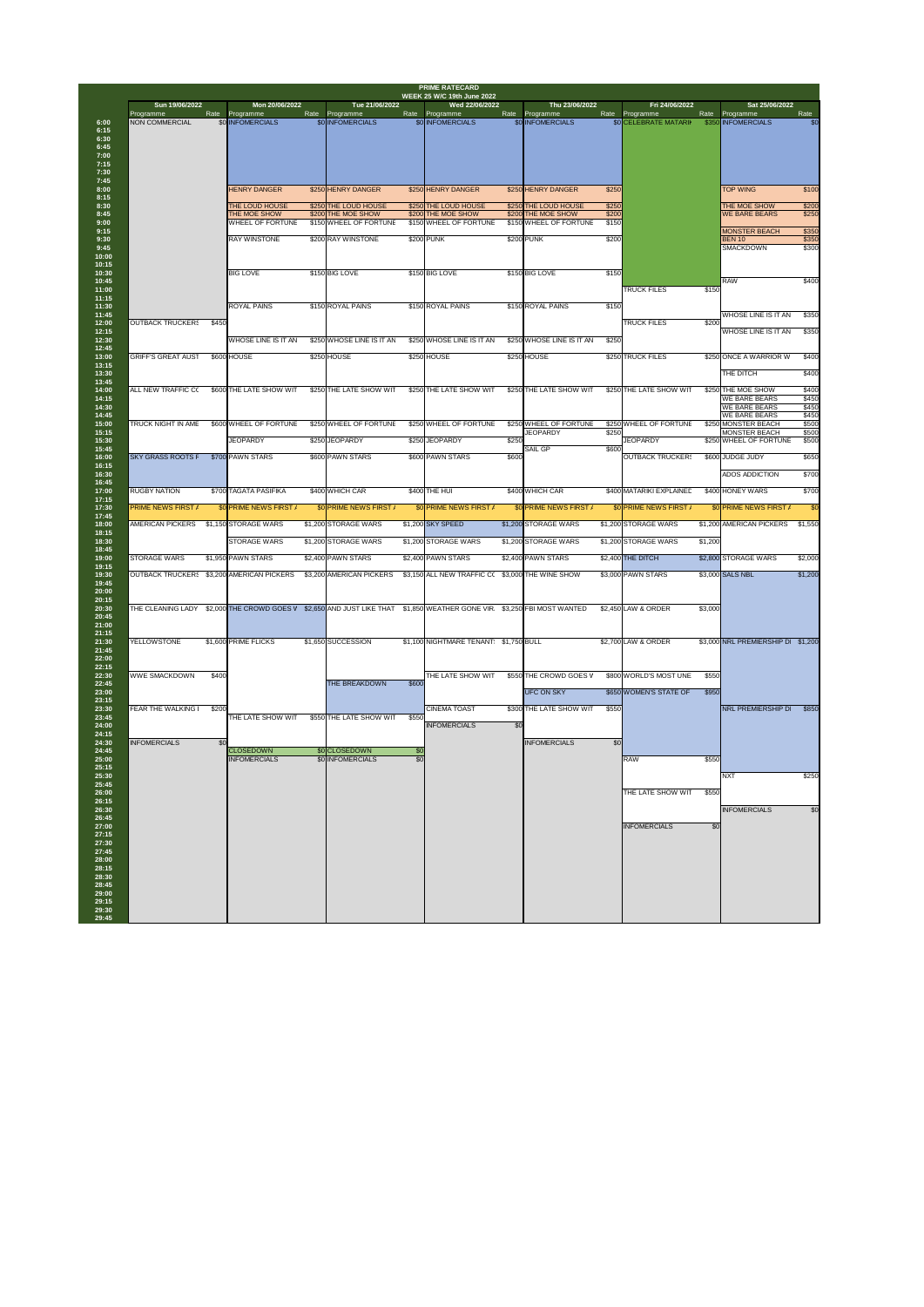| Sun 19/06/2022                            |       | Mon 20/06/2022                          |      | Tue 21/06/2022                                                              |            | <b>WEEK 25 W/C 19th June 2022</b><br>Wed 22/06/2022 |       | Thu 23/06/2022                               |                | Fri 24/06/2022                     |         | Sat 25/06/2022                               |                |
|-------------------------------------------|-------|-----------------------------------------|------|-----------------------------------------------------------------------------|------------|-----------------------------------------------------|-------|----------------------------------------------|----------------|------------------------------------|---------|----------------------------------------------|----------------|
| Programme<br><b>NON COMMERCIAL</b>        | Rate  | Programme<br>\$0 INFOMERCIALS           | Rate | Programme<br>\$0 INFOMERCIALS                                               |            | Rate Programme<br>\$0 INFOMERCIALS                  |       | Rate Programme<br>\$0 INFOMERCIALS           | Rate           | Programme<br>\$0 CELEBRATE MATARII | Rate    | Programme<br>\$350 INFOMERCIALS              | Rate<br>\$0    |
|                                           |       |                                         |      |                                                                             |            |                                                     |       |                                              |                |                                    |         |                                              |                |
|                                           |       |                                         |      |                                                                             |            |                                                     |       |                                              |                |                                    |         |                                              |                |
|                                           |       |                                         |      |                                                                             |            |                                                     |       |                                              |                |                                    |         |                                              |                |
|                                           |       |                                         |      |                                                                             |            |                                                     |       |                                              |                |                                    |         |                                              |                |
|                                           |       |                                         |      |                                                                             |            |                                                     |       |                                              |                |                                    |         |                                              |                |
|                                           |       | <b>HENRY DANGER</b>                     |      | \$250 HENRY DANGER                                                          |            | \$250 HENRY DANGER                                  |       | \$250 HENRY DANGER                           | \$250          |                                    |         | <b>TOP WING</b>                              | \$100          |
|                                           |       | <b>THE LOUD HOUSE</b>                   |      | \$250 THE LOUD HOUSE                                                        |            | \$250 THE LOUD HOUSE                                |       | \$250 THE LOUD HOUSE                         | \$250          |                                    |         | THE MOE SHOW                                 | \$200          |
|                                           |       | THE MOE SHOW<br><b>WHEEL OF FORTUNE</b> |      | \$200 THE MOE SHOW<br>\$150 WHEEL OF FORTUNE                                |            | \$200 THE MOE SHOW<br>\$150 WHEEL OF FORTUNE        |       | \$200 THE MOE SHOW<br>\$150 WHEEL OF FORTUNE | \$200<br>\$150 |                                    |         | <b>WE BARE BEARS</b>                         | \$250          |
|                                           |       |                                         |      | \$200 RAY WINSTONE                                                          |            |                                                     |       | \$200 PUNK                                   |                |                                    |         | <b>MONSTER BEACH</b>                         | \$350          |
|                                           |       | <b>RAY WINSTONE</b>                     |      |                                                                             |            | \$200 PUNK                                          |       |                                              | \$200          |                                    |         | <b>BEN 10</b><br><b>SMACKDOWN</b>            | \$350<br>\$300 |
|                                           |       |                                         |      |                                                                             |            |                                                     |       |                                              |                |                                    |         |                                              |                |
|                                           |       | <b>BIG LOVE</b>                         |      | \$150 BIG LOVE                                                              |            | \$150 BIG LOVE                                      |       | \$150 BIG LOVE                               | \$150          |                                    |         |                                              |                |
|                                           |       |                                         |      |                                                                             |            |                                                     |       |                                              |                | <b>TRUCK FILES</b>                 | \$150   | RAW                                          | \$400          |
|                                           |       |                                         |      |                                                                             |            |                                                     |       |                                              |                |                                    |         |                                              |                |
|                                           |       | <b>ROYAL PAINS</b>                      |      | \$150 ROYAL PAINS                                                           |            | \$150 ROYAL PAINS                                   |       | \$150 ROYAL PAINS                            | \$150          |                                    |         | <b>WHOSE LINE IS IT AN</b>                   | \$350          |
| <b>OUTBACK TRUCKERS</b>                   | \$450 |                                         |      |                                                                             |            |                                                     |       |                                              |                | <b>TRUCK FILES</b>                 | \$200   |                                              |                |
|                                           |       | <b>WHOSE LINE IS IT AN</b>              |      | \$250 WHOSE LINE IS IT AN                                                   |            | \$250 WHOSE LINE IS IT AN                           |       | \$250 WHOSE LINE IS IT AN                    | \$250          |                                    |         | WHOSE LINE IS IT AN                          | \$350          |
|                                           |       |                                         |      |                                                                             |            |                                                     |       |                                              |                |                                    |         |                                              |                |
| <b>GRIFF'S GREAT AUST</b>                 |       | \$600 HOUSE                             |      | \$250 HOUSE                                                                 |            | \$250 HOUSE                                         |       | \$250 HOUSE                                  |                | \$250 TRUCK FILES                  |         | \$250 ONCE A WARRIOR W                       | \$400          |
|                                           |       |                                         |      |                                                                             |            |                                                     |       |                                              |                |                                    |         | THE DITCH                                    | \$400          |
| <b>ALL NEW TRAFFIC C(</b>                 |       | \$600 THE LATE SHOW WIT                 |      | \$250 THE LATE SHOW WIT                                                     |            | \$250 THE LATE SHOW WIT                             |       | <b>\$250 THE LATE SHOW WIT</b>               |                | \$250 THE LATE SHOW WIT            |         | \$250 THE MOE SHOW                           | \$400          |
|                                           |       |                                         |      |                                                                             |            |                                                     |       |                                              |                |                                    |         | <b>WE BARE BEARS</b>                         | \$450          |
|                                           |       |                                         |      |                                                                             |            |                                                     |       |                                              |                |                                    |         | <b>WE BARE BEARS</b><br><b>WE BARE BEARS</b> | \$450<br>\$450 |
| TRUCK NIGHT IN AME                        |       | \$600 WHEEL OF FORTUNE                  |      | \$250 WHEEL OF FORTUNE                                                      |            | \$250 WHEEL OF FORTUNE                              |       | \$250 WHEEL OF FORTUNE<br><b>JEOPARDY</b>    | \$250          | \$250 WHEEL OF FORTUNE             |         | \$250 MONSTER BEACH<br><b>MONSTER BEACH</b>  | \$500<br>\$500 |
|                                           |       | <b>JEOPARDY</b>                         |      | \$250 JEOPARDY                                                              |            | \$250 JEOPARDY                                      | \$250 |                                              |                | <b>JEOPARDY</b>                    |         | \$250 WHEEL OF FORTUNE                       | \$500          |
| <b>SKY GRASS ROOTS F</b>                  |       | \$700 PAWN STARS                        |      | \$600 PAWN STARS                                                            |            | \$600 PAWN STARS                                    | \$600 | <b>SAIL GP</b>                               | \$600          | <b>OUTBACK TRUCKERS</b>            |         | \$600 JUDGE JUDY                             | \$650          |
|                                           |       |                                         |      |                                                                             |            |                                                     |       |                                              |                |                                    |         |                                              |                |
|                                           |       |                                         |      |                                                                             |            |                                                     |       |                                              |                |                                    |         | <b>ADOS ADDICTION</b>                        | \$700          |
| <b>RUGBY NATION</b>                       |       | \$700 TAGATA PASIFIKA                   |      | \$400 WHICH CAR                                                             |            | \$400 THE HUI                                       |       | \$400 WHICH CAR                              |                | \$400 MATARIKI EXPLAINED           |         | \$400 HONEY WARS                             | \$700          |
| <b>PRIME NEWS FIRST /</b>                 |       | \$0 PRIME NEWS FIRST /                  |      | \$0 PRIME NEWS FIRST /                                                      |            | \$0 PRIME NEWS FIRST /                              |       | \$0 PRIME NEWS FIRST /                       |                | \$0 PRIME NEWS FIRST /             |         | \$0 PRIME NEWS FIRST /                       | \$0            |
| AMERICAN PICKERS                          |       | \$1,150 STORAGE WARS                    |      | \$1,200 STORAGE WARS                                                        |            | \$1,200 SKY SPEED                                   |       | \$1,200 STORAGE WARS                         |                | \$1,200 STORAGE WARS               |         | \$1,200 AMERICAN PICKERS                     | \$1,550        |
|                                           |       |                                         |      |                                                                             |            |                                                     |       |                                              |                |                                    |         |                                              |                |
|                                           |       | <b>STORAGE WARS</b>                     |      | \$1,200 STORAGE WARS                                                        |            | \$1,200 STORAGE WARS                                |       | \$1,200 STORAGE WARS                         |                | \$1,200 STORAGE WARS               | \$1,200 |                                              |                |
| <b>STORAGE WARS</b>                       |       | \$1,950 PAWN STARS                      |      | \$2,400 PAWN STARS                                                          |            | \$2,400 PAWN STARS                                  |       | \$2,400 PAWN STARS                           |                | \$2,400 THE DITCH                  |         | \$2,800 STORAGE WARS                         | \$2,000        |
| OUTBACK TRUCKER: \$3,200 AMERICAN PICKERS |       |                                         |      | \$3,200 AMERICAN PICKERS                                                    |            | \$3,150 ALL NEW TRAFFIC CO                          |       | \$3,000 THE WINE SHOW                        |                | \$3,000 PAWN STARS                 |         | \$3,000 SALS NBL                             | \$1,200        |
|                                           |       |                                         |      |                                                                             |            |                                                     |       |                                              |                |                                    |         |                                              |                |
|                                           |       |                                         |      |                                                                             |            |                                                     |       |                                              |                |                                    |         |                                              |                |
| THE CLEANING LADY                         |       | \$2,000 THE CROWD GOES V                |      | \$2,650 AND JUST LIKE THAT \$1,850 WEATHER GONE VIR \$3,250 FBI MOST WANTED |            |                                                     |       |                                              |                | \$2,450 LAW & ORDER                | \$3,000 |                                              |                |
|                                           |       |                                         |      |                                                                             |            |                                                     |       |                                              |                |                                    |         |                                              |                |
| <b>YELLOWSTONE</b>                        |       | \$1,600 PRIME FLICKS                    |      | \$1,650 SUCCESSION                                                          |            | \$1,100 NIGHTMARE TENANT \$1,750 BULL               |       |                                              |                | \$2,700 LAW & ORDER                |         | \$3,000 NRL PREMIERSHIP D \$1,200            |                |
|                                           |       |                                         |      |                                                                             |            |                                                     |       |                                              |                |                                    |         |                                              |                |
|                                           |       |                                         |      |                                                                             |            |                                                     |       |                                              |                |                                    |         |                                              |                |
| <b>WWE SMACKDOWN</b>                      | \$400 |                                         |      |                                                                             |            | THE LATE SHOW WIT                                   |       | \$550 THE CROWD GOES V                       |                | \$800 WORLD'S MOST UNE             | \$550   |                                              |                |
|                                           |       |                                         |      | <b>THE BREAKDOWN</b>                                                        | \$600      |                                                     |       | <b>UFC ON SKY</b>                            |                | \$650 WOMEN'S STATE OF             | \$950   |                                              |                |
|                                           |       |                                         |      |                                                                             |            |                                                     |       |                                              |                |                                    |         |                                              |                |
| FEAR THE WALKING                          | \$200 | THE LATE SHOW WIT                       |      | \$550 THE LATE SHOW WIT                                                     | \$550      | <b>CINEMA TOAST</b>                                 |       | \$300 THE LATE SHOW WIT                      | \$550          |                                    |         | <b>NRL PREMIERSHIP D</b>                     | \$850          |
|                                           |       |                                         |      |                                                                             |            | <b>INFOMERCIALS</b>                                 | \$0   |                                              |                |                                    |         |                                              |                |
|                                           | \$0   |                                         |      |                                                                             |            |                                                     |       | <b>INFOMERCIALS</b>                          | \$0            |                                    |         |                                              |                |
| <b>INFOMERCIALS</b>                       |       | <b>CLOSEDOWN</b>                        |      | \$0 CLOSEDOWN<br>\$0 INFOMERCIALS                                           | \$0<br>\$0 |                                                     |       |                                              |                | <b>RAW</b>                         | \$550   |                                              |                |
|                                           |       |                                         |      |                                                                             |            |                                                     |       |                                              |                |                                    |         |                                              |                |
|                                           |       | <b>INFOMERCIALS</b>                     |      |                                                                             |            |                                                     |       |                                              |                |                                    |         | <b>NXT</b>                                   | \$250          |
|                                           |       |                                         |      |                                                                             |            |                                                     |       |                                              |                |                                    |         |                                              |                |
|                                           |       |                                         |      |                                                                             |            |                                                     |       |                                              |                | THE LATE SHOW WIT                  | \$550   |                                              |                |
|                                           |       |                                         |      |                                                                             |            |                                                     |       |                                              |                |                                    |         |                                              |                |
|                                           |       |                                         |      |                                                                             |            |                                                     |       |                                              |                |                                    |         | <b>INFOMERCIALS</b>                          |                |
|                                           |       |                                         |      |                                                                             |            |                                                     |       |                                              |                | <b>INFOMERCIALS</b>                | \$0     |                                              |                |
|                                           |       |                                         |      |                                                                             |            |                                                     |       |                                              |                |                                    |         |                                              |                |
|                                           |       |                                         |      |                                                                             |            |                                                     |       |                                              |                |                                    |         |                                              |                |
|                                           |       |                                         |      |                                                                             |            |                                                     |       |                                              |                |                                    |         |                                              | \$0            |
|                                           |       |                                         |      |                                                                             |            |                                                     |       |                                              |                |                                    |         |                                              |                |
|                                           |       |                                         |      |                                                                             |            |                                                     |       |                                              |                |                                    |         |                                              |                |